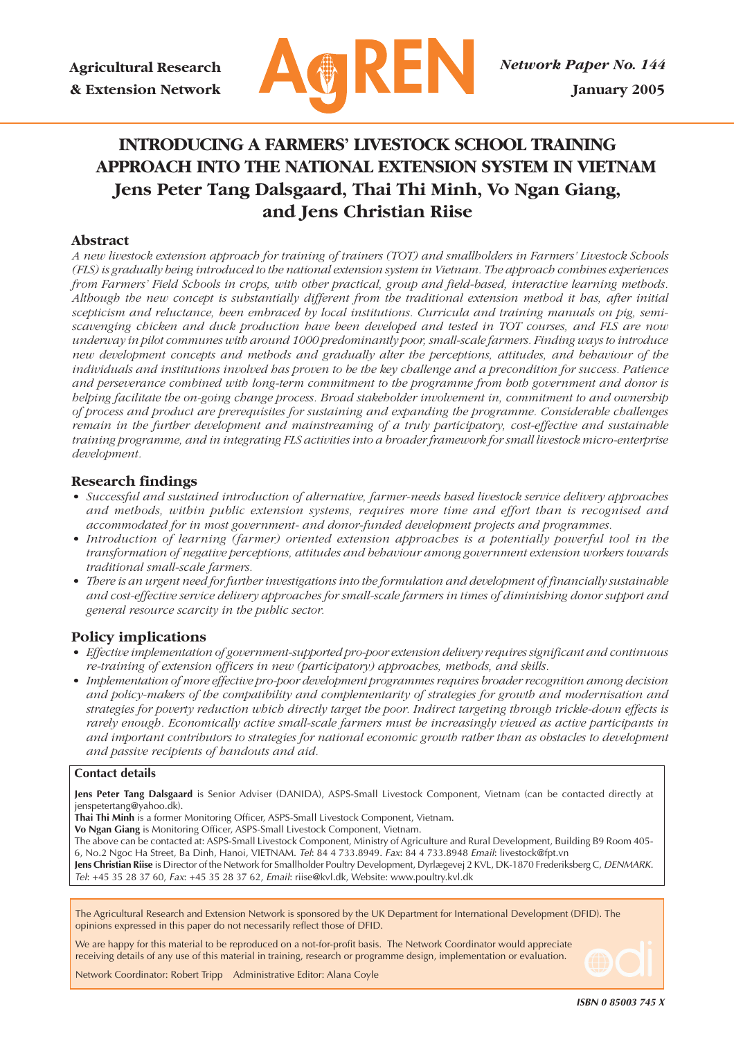

# **INTRODUCING A FARMERS' LIVESTOCK SCHOOL TRAINING APPROACH INTO THE NATIONAL EXTENSION SYSTEM IN VIETNAM Jens Peter Tang Dalsgaard, Thai Thi Minh, Vo Ngan Giang, and Jens Christian Riise**

#### **Abstract**

*A new livestock extension approach for training of trainers (TOT) and smallholders in Farmers' Livestock Schools (FLS) is gradually being introduced to the national extension system in Vietnam. The approach combines experiences from Farmers' Field Schools in crops, with other practical, group and field-based, interactive learning methods. Although the new concept is substantially different from the traditional extension method it has, after initial scepticism and reluctance, been embraced by local institutions. Curricula and training manuals on pig, semiscavenging chicken and duck production have been developed and tested in TOT courses, and FLS are now underway in pilot communes with around 1000 predominantly poor, small-scale farmers. Finding ways to introduce new development concepts and methods and gradually alter the perceptions, attitudes, and behaviour of the individuals and institutions involved has proven to be the key challenge and a precondition for success. Patience and perseverance combined with long-term commitment to the programme from both government and donor is helping facilitate the on-going change process. Broad stakeholder involvement in, commitment to and ownership of process and product are prerequisites for sustaining and expanding the programme. Considerable challenges remain in the further development and mainstreaming of a truly participatory, cost-effective and sustainable training programme, and in integrating FLS activities into a broader framework for small livestock micro-enterprise development.*

#### **Research findings**

- *Successful and sustained introduction of alternative, farmer-needs based livestock service delivery approaches and methods, within public extension systems, requires more time and effort than is recognised and accommodated for in most government- and donor-funded development projects and programmes.*
- *Introduction of learning (farmer) oriented extension approaches is a potentially powerful tool in the transformation of negative perceptions, attitudes and behaviour among government extension workers towards traditional small-scale farmers.*
- *There is an urgent need for further investigations into the formulation and development of financially sustainable and cost-effective service delivery approaches for small-scale farmers in times of diminishing donor support and general resource scarcity in the public sector.*

#### **Policy implications**

- *Effective implementation of government-supported pro-poor extension delivery requires significant and continuous re-training of extension officers in new (participatory) approaches, methods, and skills.*
- *Implementation of more effective pro-poor development programmes requires broader recognition among decision and policy-makers of the compatibility and complementarity of strategies for growth and modernisation and strategies for poverty reduction which directly target the poor. Indirect targeting through trickle-down effects is rarely enough. Economically active small-scale farmers must be increasingly viewed as active participants in and important contributors to strategies for national economic growth rather than as obstacles to development and passive recipients of handouts and aid.*

#### **Contact details**

**Jens Peter Tang Dalsgaard** is Senior Adviser (DANIDA), ASPS-Small Livestock Component, Vietnam (can be contacted directly at jenspetertang@yahoo.dk).

**Thai Thi Minh** is a former Monitoring Officer, ASPS-Small Livestock Component, Vietnam.

**Vo Ngan Giang** is Monitoring Officer, ASPS-Small Livestock Component, Vietnam.

The above can be contacted at: ASPS-Small Livestock Component, Ministry of Agriculture and Rural Development, Building B9 Room 405- 6, No.2 Ngoc Ha Street, Ba Dinh, Hanoi, VIETNAM. Tel: 84 4 733.8949. Fax: 84 4 733.8948 Email: livestock@fpt.vn **Jens Christian Riise** is Director of the Network for Smallholder Poultry Development, Dyrlægevej 2 KVL, DK-1870 Frederiksberg C, DENMARK.

Tel: +45 35 28 37 60, Fax: +45 35 28 37 62, Email: riise@kvl.dk, Website: www.poultry.kvl.dk

The Agricultural Research and Extension Network is sponsored by the UK Department for International Development (DFID). The opinions expressed in this paper do not necessarily reflect those of DFID.

We are happy for this material to be reproduced on a not-for-profit basis. The Network Coordinator would appreciate receiving details of any use of this material in training, research or programme design, implementation or evaluation.

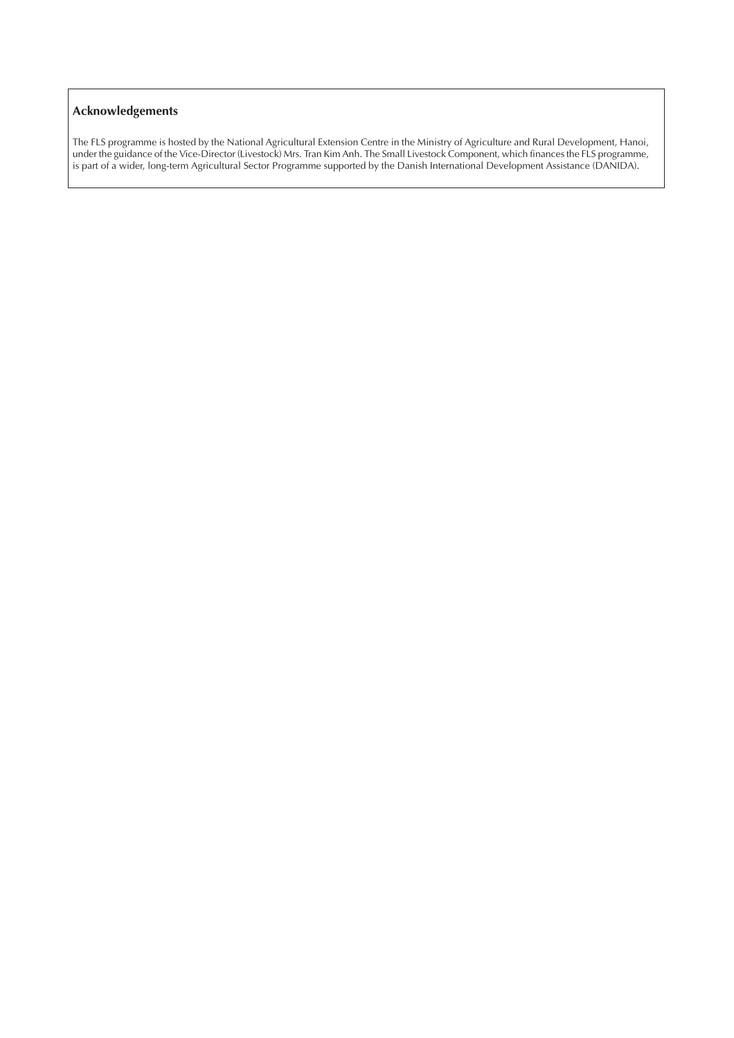### **Acknowledgements**

The FLS programme is hosted by the National Agricultural Extension Centre in the Ministry of Agriculture and Rural Development, Hanoi, under the guidance of the Vice-Director (Livestock) Mrs. Tran Kim Anh. The Small Livestock Component, which finances the FLS programme, is part of a wider, long-term Agricultural Sector Programme supported by the Danish International Development Assistance (DANIDA).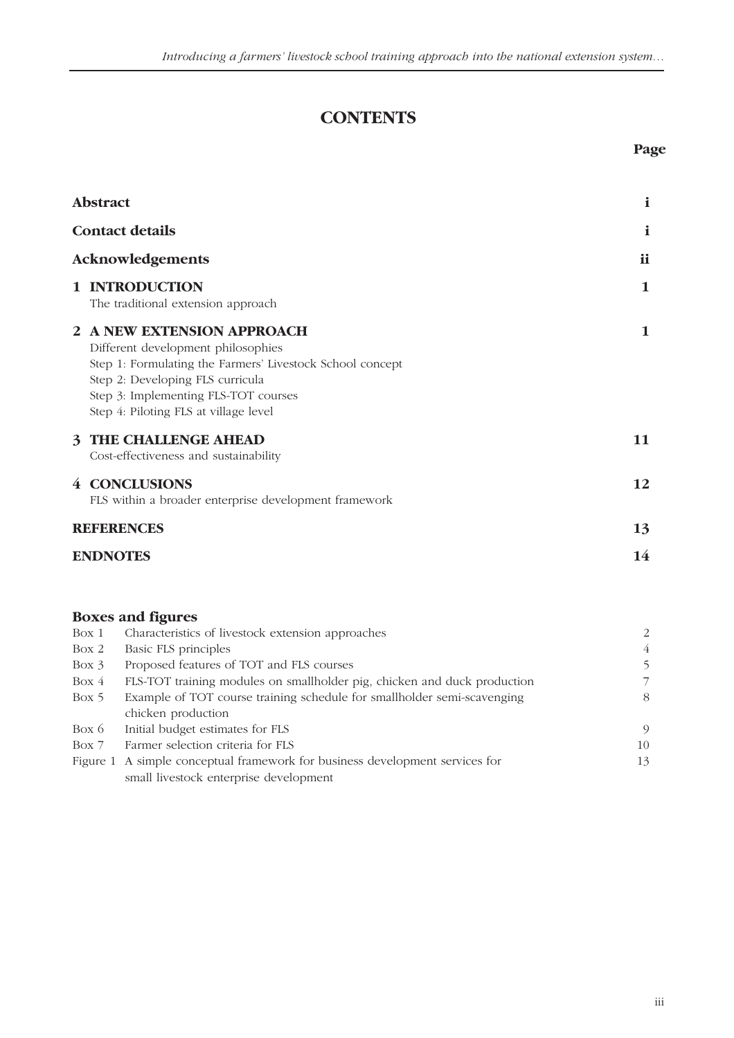## **CONTENTS**

|                  | <b>Abstract</b>                                                                                                                                                                                                                                    | $\mathbf{i}$ |
|------------------|----------------------------------------------------------------------------------------------------------------------------------------------------------------------------------------------------------------------------------------------------|--------------|
|                  | <b>Contact details</b>                                                                                                                                                                                                                             | i            |
| Acknowledgements |                                                                                                                                                                                                                                                    | ii           |
|                  | 1 INTRODUCTION<br>The traditional extension approach                                                                                                                                                                                               | 1            |
|                  | 2 A NEW EXTENSION APPROACH<br>Different development philosophies<br>Step 1: Formulating the Farmers' Livestock School concept<br>Step 2: Developing FLS curricula<br>Step 3: Implementing FLS-TOT courses<br>Step 4: Piloting FLS at village level | 1            |
|                  | <b>3 THE CHALLENGE AHEAD</b><br>Cost-effectiveness and sustainability                                                                                                                                                                              | 11           |
|                  | 4 CONCLUSIONS<br>FLS within a broader enterprise development framework                                                                                                                                                                             | 12           |
|                  | <b>REFERENCES</b>                                                                                                                                                                                                                                  | 13           |
|                  | <b>ENDNOTES</b>                                                                                                                                                                                                                                    | 14           |

### **Boxes and figures** Box 1 Characteristics of livestock extension approaches 2 Box 2 Basic FLS principles 4 Box 3 Proposed features of TOT and FLS courses 5 Box 4 FLS-TOT training modules on smallholder pig, chicken and duck production 7 Box 5 Example of TOT course training schedule for smallholder semi-scavenging 8 chicken production Box 6 Initial budget estimates for FLS 9 Box 7 Farmer selection criteria for FLS 10

| Figure 1 A simple conceptual framework for business development services for |  |
|------------------------------------------------------------------------------|--|
| small livestock enterprise development                                       |  |

**Page**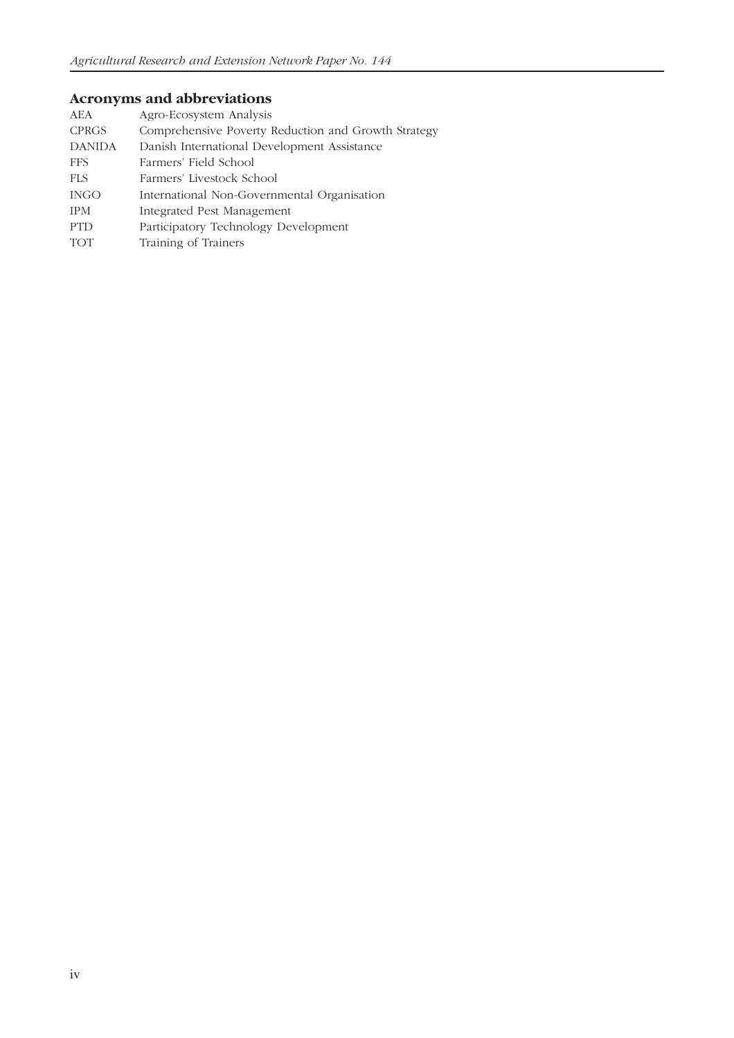## **Acronyms and abbreviations**

| AEA           | Agro-Ecosystem Analysis                             |
|---------------|-----------------------------------------------------|
| <b>CPRGS</b>  | Comprehensive Poverty Reduction and Growth Strategy |
| <b>DANIDA</b> | Danish International Development Assistance         |
| <b>FFS</b>    | Farmers' Field School                               |
| <b>FLS</b>    | Farmers' Livestock School                           |
| <b>INGO</b>   | International Non-Governmental Organisation         |
| <b>IPM</b>    | Integrated Pest Management                          |
| <b>PTD</b>    | Participatory Technology Development                |
| <b>TOT</b>    | Training of Trainers                                |
|               |                                                     |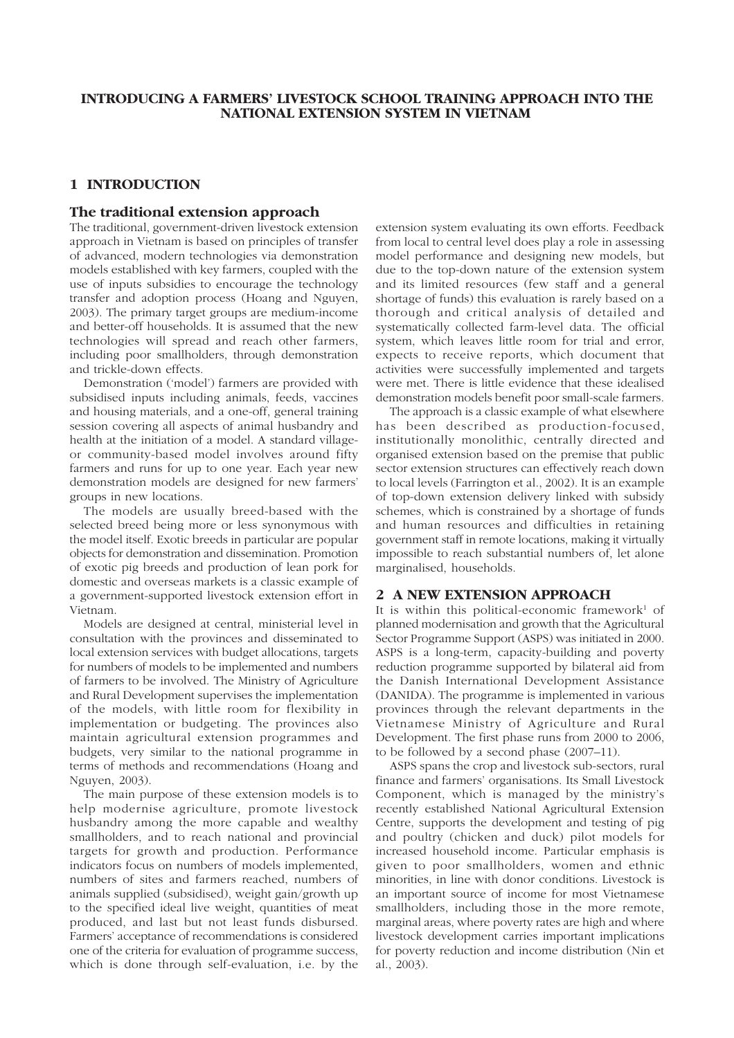#### **1 INTRODUCTION**

#### **The traditional extension approach**

The traditional, government-driven livestock extension approach in Vietnam is based on principles of transfer of advanced, modern technologies via demonstration models established with key farmers, coupled with the use of inputs subsidies to encourage the technology transfer and adoption process (Hoang and Nguyen, 2003). The primary target groups are medium-income and better-off households. It is assumed that the new technologies will spread and reach other farmers, including poor smallholders, through demonstration and trickle-down effects.

Demonstration ('model') farmers are provided with subsidised inputs including animals, feeds, vaccines and housing materials, and a one-off, general training session covering all aspects of animal husbandry and health at the initiation of a model. A standard villageor community-based model involves around fifty farmers and runs for up to one year. Each year new demonstration models are designed for new farmers' groups in new locations.

The models are usually breed-based with the selected breed being more or less synonymous with the model itself. Exotic breeds in particular are popular objects for demonstration and dissemination. Promotion of exotic pig breeds and production of lean pork for domestic and overseas markets is a classic example of a government-supported livestock extension effort in Vietnam.

Models are designed at central, ministerial level in consultation with the provinces and disseminated to local extension services with budget allocations, targets for numbers of models to be implemented and numbers of farmers to be involved. The Ministry of Agriculture and Rural Development supervises the implementation of the models, with little room for flexibility in implementation or budgeting. The provinces also maintain agricultural extension programmes and budgets, very similar to the national programme in terms of methods and recommendations (Hoang and Nguyen, 2003).

The main purpose of these extension models is to help modernise agriculture, promote livestock husbandry among the more capable and wealthy smallholders, and to reach national and provincial targets for growth and production. Performance indicators focus on numbers of models implemented, numbers of sites and farmers reached, numbers of animals supplied (subsidised), weight gain/growth up to the specified ideal live weight, quantities of meat produced, and last but not least funds disbursed. Farmers' acceptance of recommendations is considered one of the criteria for evaluation of programme success, which is done through self-evaluation, i.e. by the

extension system evaluating its own efforts. Feedback from local to central level does play a role in assessing model performance and designing new models, but due to the top-down nature of the extension system and its limited resources (few staff and a general shortage of funds) this evaluation is rarely based on a thorough and critical analysis of detailed and systematically collected farm-level data. The official system, which leaves little room for trial and error, expects to receive reports, which document that activities were successfully implemented and targets were met. There is little evidence that these idealised demonstration models benefit poor small-scale farmers.

The approach is a classic example of what elsewhere has been described as production-focused, institutionally monolithic, centrally directed and organised extension based on the premise that public sector extension structures can effectively reach down to local levels (Farrington et al., 2002). It is an example of top-down extension delivery linked with subsidy schemes, which is constrained by a shortage of funds and human resources and difficulties in retaining government staff in remote locations, making it virtually impossible to reach substantial numbers of, let alone marginalised, households.

#### **2 A NEW EXTENSION APPROACH**

It is within this political-economic framework<sup>1</sup> of planned modernisation and growth that the Agricultural Sector Programme Support (ASPS) was initiated in 2000. ASPS is a long-term, capacity-building and poverty reduction programme supported by bilateral aid from the Danish International Development Assistance (DANIDA). The programme is implemented in various provinces through the relevant departments in the Vietnamese Ministry of Agriculture and Rural Development. The first phase runs from 2000 to 2006, to be followed by a second phase (2007–11).

ASPS spans the crop and livestock sub-sectors, rural finance and farmers' organisations. Its Small Livestock Component, which is managed by the ministry's recently established National Agricultural Extension Centre, supports the development and testing of pig and poultry (chicken and duck) pilot models for increased household income. Particular emphasis is given to poor smallholders, women and ethnic minorities, in line with donor conditions. Livestock is an important source of income for most Vietnamese smallholders, including those in the more remote, marginal areas, where poverty rates are high and where livestock development carries important implications for poverty reduction and income distribution (Nin et al., 2003).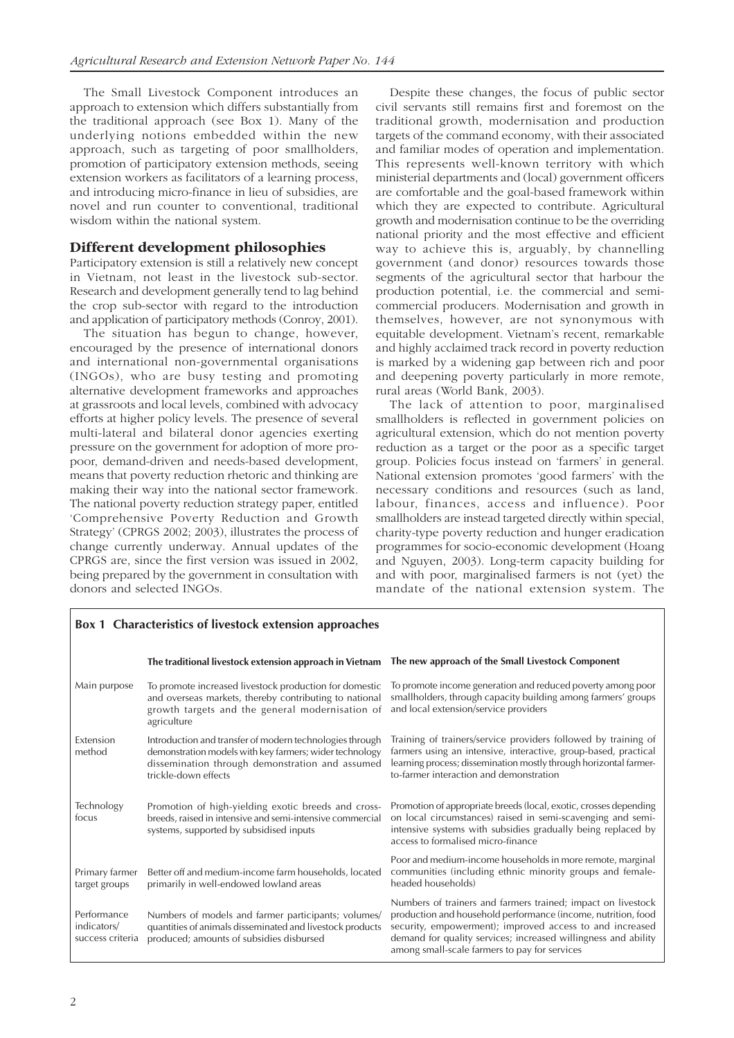The Small Livestock Component introduces an approach to extension which differs substantially from the traditional approach (see Box 1). Many of the underlying notions embedded within the new approach, such as targeting of poor smallholders, promotion of participatory extension methods, seeing extension workers as facilitators of a learning process, and introducing micro-finance in lieu of subsidies, are novel and run counter to conventional, traditional wisdom within the national system.

#### **Different development philosophies**

Participatory extension is still a relatively new concept in Vietnam, not least in the livestock sub-sector. Research and development generally tend to lag behind the crop sub-sector with regard to the introduction and application of participatory methods (Conroy, 2001).

The situation has begun to change, however, encouraged by the presence of international donors and international non-governmental organisations (INGOs), who are busy testing and promoting alternative development frameworks and approaches at grassroots and local levels, combined with advocacy efforts at higher policy levels. The presence of several multi-lateral and bilateral donor agencies exerting pressure on the government for adoption of more propoor, demand-driven and needs-based development, means that poverty reduction rhetoric and thinking are making their way into the national sector framework. The national poverty reduction strategy paper, entitled 'Comprehensive Poverty Reduction and Growth Strategy' (CPRGS 2002; 2003), illustrates the process of change currently underway. Annual updates of the CPRGS are, since the first version was issued in 2002, being prepared by the government in consultation with donors and selected INGOs.

Despite these changes, the focus of public sector civil servants still remains first and foremost on the traditional growth, modernisation and production targets of the command economy, with their associated and familiar modes of operation and implementation. This represents well-known territory with which ministerial departments and (local) government officers are comfortable and the goal-based framework within which they are expected to contribute. Agricultural growth and modernisation continue to be the overriding national priority and the most effective and efficient way to achieve this is, arguably, by channelling government (and donor) resources towards those segments of the agricultural sector that harbour the production potential, i.e. the commercial and semicommercial producers. Modernisation and growth in themselves, however, are not synonymous with equitable development. Vietnam's recent, remarkable and highly acclaimed track record in poverty reduction is marked by a widening gap between rich and poor and deepening poverty particularly in more remote, rural areas (World Bank, 2003).

The lack of attention to poor, marginalised smallholders is reflected in government policies on agricultural extension, which do not mention poverty reduction as a target or the poor as a specific target group. Policies focus instead on 'farmers' in general. National extension promotes 'good farmers' with the necessary conditions and resources (such as land, labour, finances, access and influence). Poor smallholders are instead targeted directly within special, charity-type poverty reduction and hunger eradication programmes for socio-economic development (Hoang and Nguyen, 2003). Long-term capacity building for and with poor, marginalised farmers is not (yet) the mandate of the national extension system. The

|                                                | <b>Box 1 Characteristics of livestock extension approaches</b>                                                                                                                                 |                                                                                                                                                                                                                                                                                                              |
|------------------------------------------------|------------------------------------------------------------------------------------------------------------------------------------------------------------------------------------------------|--------------------------------------------------------------------------------------------------------------------------------------------------------------------------------------------------------------------------------------------------------------------------------------------------------------|
|                                                | The traditional livestock extension approach in Vietnam The new approach of the Small Livestock Component                                                                                      |                                                                                                                                                                                                                                                                                                              |
| Main purpose                                   | To promote increased livestock production for domestic<br>and overseas markets, thereby contributing to national<br>growth targets and the general modernisation of<br>agriculture             | To promote income generation and reduced poverty among poor<br>smallholders, through capacity building among farmers' groups<br>and local extension/service providers                                                                                                                                        |
| Extension<br>method                            | Introduction and transfer of modern technologies through<br>demonstration models with key farmers; wider technology<br>dissemination through demonstration and assumed<br>trickle-down effects | Training of trainers/service providers followed by training of<br>farmers using an intensive, interactive, group-based, practical<br>learning process; dissemination mostly through horizontal farmer-<br>to-farmer interaction and demonstration                                                            |
| Technology<br>focus                            | Promotion of high-yielding exotic breeds and cross-<br>breeds, raised in intensive and semi-intensive commercial<br>systems, supported by subsidised inputs                                    | Promotion of appropriate breeds (local, exotic, crosses depending<br>on local circumstances) raised in semi-scavenging and semi-<br>intensive systems with subsidies gradually being replaced by<br>access to formalised micro-finance                                                                       |
| Primary farmer<br>target groups                | Better off and medium-income farm households, located<br>primarily in well-endowed lowland areas                                                                                               | Poor and medium-income households in more remote, marginal<br>communities (including ethnic minority groups and female-<br>headed households)                                                                                                                                                                |
| Performance<br>indicators/<br>success criteria | Numbers of models and farmer participants; volumes/<br>quantities of animals disseminated and livestock products<br>produced; amounts of subsidies disbursed                                   | Numbers of trainers and farmers trained; impact on livestock<br>production and household performance (income, nutrition, food<br>security, empowerment); improved access to and increased<br>demand for quality services; increased willingness and ability<br>among small-scale farmers to pay for services |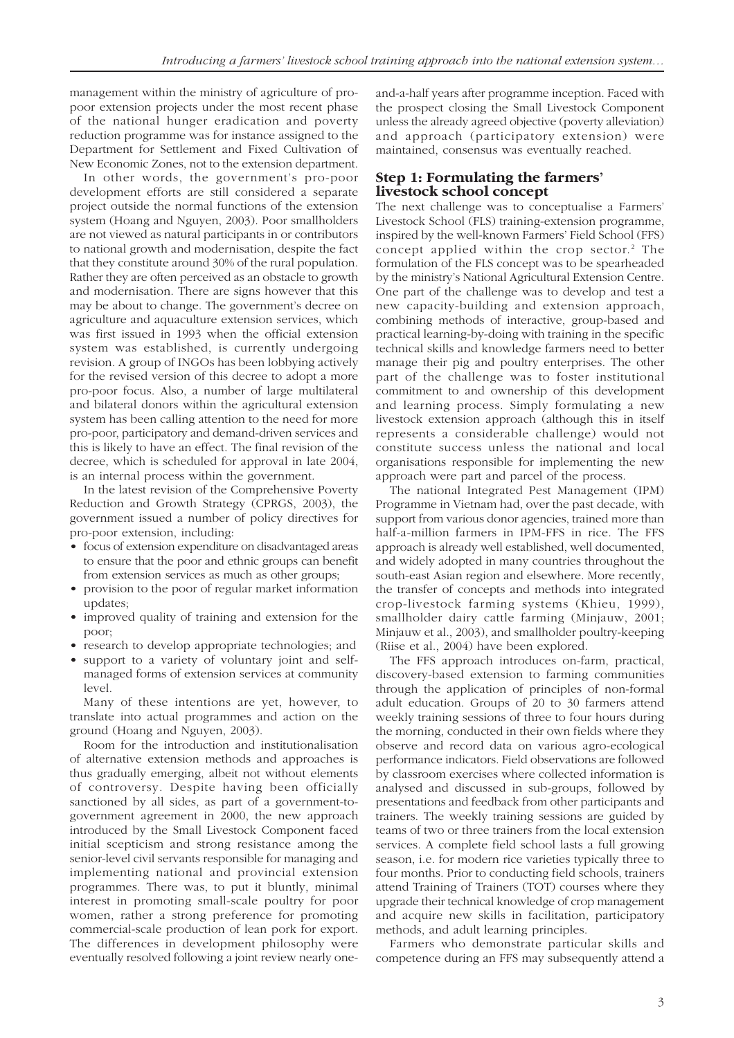management within the ministry of agriculture of propoor extension projects under the most recent phase of the national hunger eradication and poverty reduction programme was for instance assigned to the Department for Settlement and Fixed Cultivation of New Economic Zones, not to the extension department.

In other words, the government's pro-poor development efforts are still considered a separate project outside the normal functions of the extension system (Hoang and Nguyen, 2003). Poor smallholders are not viewed as natural participants in or contributors to national growth and modernisation, despite the fact that they constitute around 30% of the rural population. Rather they are often perceived as an obstacle to growth and modernisation. There are signs however that this may be about to change. The government's decree on agriculture and aquaculture extension services, which was first issued in 1993 when the official extension system was established, is currently undergoing revision. A group of INGOs has been lobbying actively for the revised version of this decree to adopt a more pro-poor focus. Also, a number of large multilateral and bilateral donors within the agricultural extension system has been calling attention to the need for more pro-poor, participatory and demand-driven services and this is likely to have an effect. The final revision of the decree, which is scheduled for approval in late 2004, is an internal process within the government.

In the latest revision of the Comprehensive Poverty Reduction and Growth Strategy (CPRGS, 2003), the government issued a number of policy directives for pro-poor extension, including:

- focus of extension expenditure on disadvantaged areas to ensure that the poor and ethnic groups can benefit from extension services as much as other groups;
- provision to the poor of regular market information updates;
- improved quality of training and extension for the poor;
- research to develop appropriate technologies; and
- support to a variety of voluntary joint and selfmanaged forms of extension services at community level.

Many of these intentions are yet, however, to translate into actual programmes and action on the ground (Hoang and Nguyen, 2003).

Room for the introduction and institutionalisation of alternative extension methods and approaches is thus gradually emerging, albeit not without elements of controversy. Despite having been officially sanctioned by all sides, as part of a government-togovernment agreement in 2000, the new approach introduced by the Small Livestock Component faced initial scepticism and strong resistance among the senior-level civil servants responsible for managing and implementing national and provincial extension programmes. There was, to put it bluntly, minimal interest in promoting small-scale poultry for poor women, rather a strong preference for promoting commercial-scale production of lean pork for export. The differences in development philosophy were eventually resolved following a joint review nearly oneand-a-half years after programme inception. Faced with the prospect closing the Small Livestock Component unless the already agreed objective (poverty alleviation) and approach (participatory extension) were maintained, consensus was eventually reached.

#### **Step 1: Formulating the farmers' livestock school concept**

The next challenge was to conceptualise a Farmers' Livestock School (FLS) training-extension programme, inspired by the well-known Farmers' Field School (FFS) concept applied within the crop sector.<sup>2</sup> The formulation of the FLS concept was to be spearheaded by the ministry's National Agricultural Extension Centre. One part of the challenge was to develop and test a new capacity-building and extension approach, combining methods of interactive, group-based and practical learning-by-doing with training in the specific technical skills and knowledge farmers need to better manage their pig and poultry enterprises. The other part of the challenge was to foster institutional commitment to and ownership of this development and learning process. Simply formulating a new livestock extension approach (although this in itself represents a considerable challenge) would not constitute success unless the national and local organisations responsible for implementing the new approach were part and parcel of the process.

The national Integrated Pest Management (IPM) Programme in Vietnam had, over the past decade, with support from various donor agencies, trained more than half-a-million farmers in IPM-FFS in rice. The FFS approach is already well established, well documented, and widely adopted in many countries throughout the south-east Asian region and elsewhere. More recently, the transfer of concepts and methods into integrated crop-livestock farming systems (Khieu, 1999), smallholder dairy cattle farming (Minjauw, 2001; Minjauw et al., 2003), and smallholder poultry-keeping (Riise et al., 2004) have been explored.

The FFS approach introduces on-farm, practical, discovery-based extension to farming communities through the application of principles of non-formal adult education. Groups of 20 to 30 farmers attend weekly training sessions of three to four hours during the morning, conducted in their own fields where they observe and record data on various agro-ecological performance indicators. Field observations are followed by classroom exercises where collected information is analysed and discussed in sub-groups, followed by presentations and feedback from other participants and trainers. The weekly training sessions are guided by teams of two or three trainers from the local extension services. A complete field school lasts a full growing season, i.e. for modern rice varieties typically three to four months. Prior to conducting field schools, trainers attend Training of Trainers (TOT) courses where they upgrade their technical knowledge of crop management and acquire new skills in facilitation, participatory methods, and adult learning principles.

Farmers who demonstrate particular skills and competence during an FFS may subsequently attend a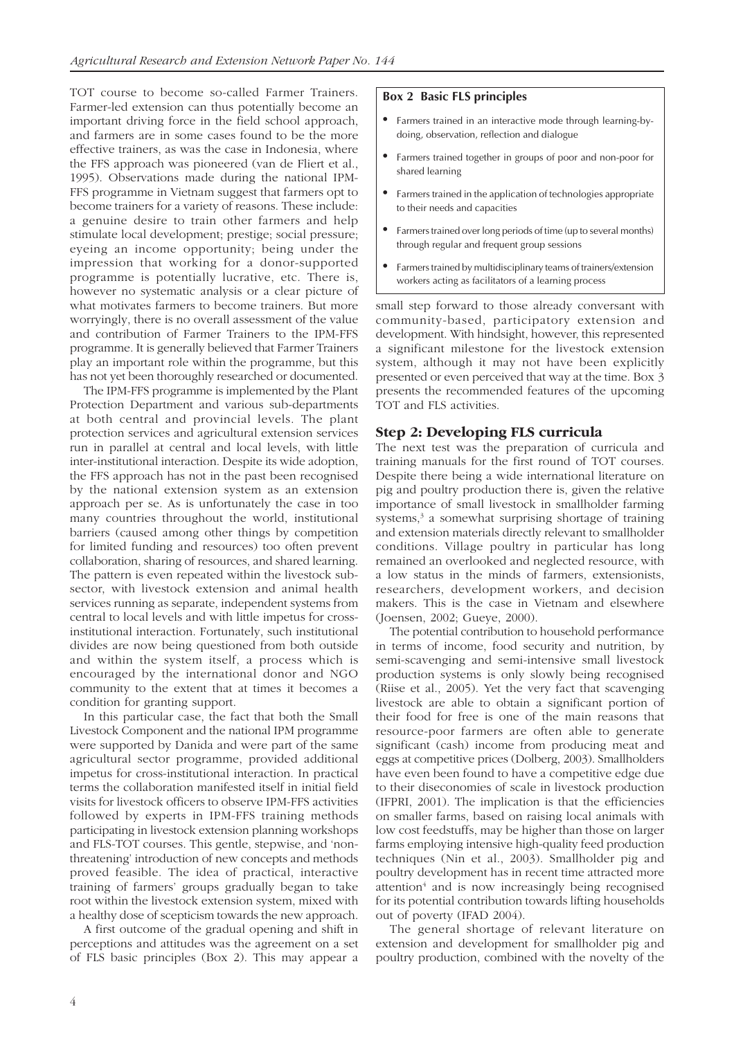TOT course to become so-called Farmer Trainers. Farmer-led extension can thus potentially become an important driving force in the field school approach, and farmers are in some cases found to be the more effective trainers, as was the case in Indonesia, where the FFS approach was pioneered (van de Fliert et al., 1995). Observations made during the national IPM-FFS programme in Vietnam suggest that farmers opt to become trainers for a variety of reasons. These include: a genuine desire to train other farmers and help stimulate local development; prestige; social pressure; eyeing an income opportunity; being under the impression that working for a donor-supported programme is potentially lucrative, etc. There is, however no systematic analysis or a clear picture of what motivates farmers to become trainers. But more worryingly, there is no overall assessment of the value and contribution of Farmer Trainers to the IPM-FFS programme. It is generally believed that Farmer Trainers play an important role within the programme, but this has not yet been thoroughly researched or documented.

The IPM-FFS programme is implemented by the Plant Protection Department and various sub-departments at both central and provincial levels. The plant protection services and agricultural extension services run in parallel at central and local levels, with little inter-institutional interaction. Despite its wide adoption, the FFS approach has not in the past been recognised by the national extension system as an extension approach per se. As is unfortunately the case in too many countries throughout the world, institutional barriers (caused among other things by competition for limited funding and resources) too often prevent collaboration, sharing of resources, and shared learning. The pattern is even repeated within the livestock subsector, with livestock extension and animal health services running as separate, independent systems from central to local levels and with little impetus for crossinstitutional interaction. Fortunately, such institutional divides are now being questioned from both outside and within the system itself, a process which is encouraged by the international donor and NGO community to the extent that at times it becomes a condition for granting support.

In this particular case, the fact that both the Small Livestock Component and the national IPM programme were supported by Danida and were part of the same agricultural sector programme, provided additional impetus for cross-institutional interaction. In practical terms the collaboration manifested itself in initial field visits for livestock officers to observe IPM-FFS activities followed by experts in IPM-FFS training methods participating in livestock extension planning workshops and FLS-TOT courses. This gentle, stepwise, and 'nonthreatening' introduction of new concepts and methods proved feasible. The idea of practical, interactive training of farmers' groups gradually began to take root within the livestock extension system, mixed with a healthy dose of scepticism towards the new approach.

A first outcome of the gradual opening and shift in perceptions and attitudes was the agreement on a set of FLS basic principles (Box 2). This may appear a

#### **Box 2 Basic FLS principles**

- Farmers trained in an interactive mode through learning-bydoing, observation, reflection and dialogue
- Farmers trained together in groups of poor and non-poor for shared learning
- Farmers trained in the application of technologies appropriate to their needs and capacities
- Farmers trained over long periods of time (up to several months) through regular and frequent group sessions
- Farmers trained by multidisciplinary teams of trainers/extension workers acting as facilitators of a learning process

small step forward to those already conversant with community-based, participatory extension and development. With hindsight, however, this represented a significant milestone for the livestock extension system, although it may not have been explicitly presented or even perceived that way at the time. Box 3 presents the recommended features of the upcoming TOT and FLS activities.

#### **Step 2: Developing FLS curricula**

The next test was the preparation of curricula and training manuals for the first round of TOT courses. Despite there being a wide international literature on pig and poultry production there is, given the relative importance of small livestock in smallholder farming systems,<sup>3</sup> a somewhat surprising shortage of training and extension materials directly relevant to smallholder conditions. Village poultry in particular has long remained an overlooked and neglected resource, with a low status in the minds of farmers, extensionists, researchers, development workers, and decision makers. This is the case in Vietnam and elsewhere (Joensen, 2002; Gueye, 2000).

The potential contribution to household performance in terms of income, food security and nutrition, by semi-scavenging and semi-intensive small livestock production systems is only slowly being recognised (Riise et al., 2005). Yet the very fact that scavenging livestock are able to obtain a significant portion of their food for free is one of the main reasons that resource-poor farmers are often able to generate significant (cash) income from producing meat and eggs at competitive prices (Dolberg, 2003). Smallholders have even been found to have a competitive edge due to their diseconomies of scale in livestock production (IFPRI, 2001). The implication is that the efficiencies on smaller farms, based on raising local animals with low cost feedstuffs, may be higher than those on larger farms employing intensive high-quality feed production techniques (Nin et al., 2003). Smallholder pig and poultry development has in recent time attracted more attention<sup>4</sup> and is now increasingly being recognised for its potential contribution towards lifting households out of poverty (IFAD 2004).

The general shortage of relevant literature on extension and development for smallholder pig and poultry production, combined with the novelty of the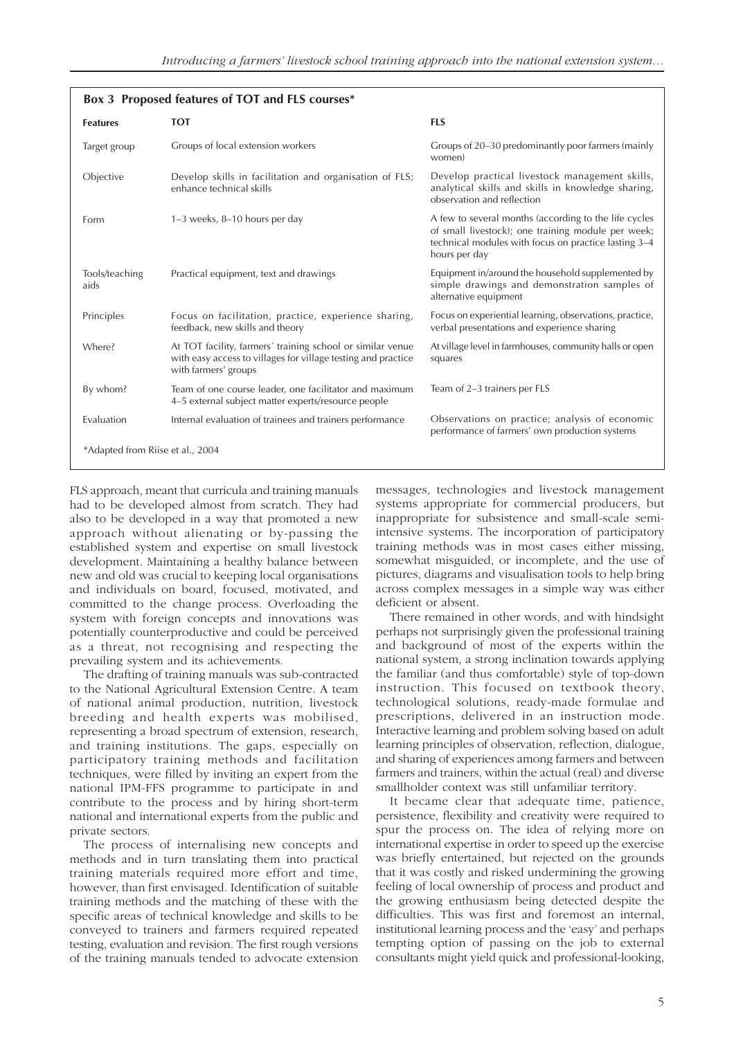|                                  | Box 3 Proposed features of TOT and FLS courses*                                                                                                     |                                                                                                                                                                                      |
|----------------------------------|-----------------------------------------------------------------------------------------------------------------------------------------------------|--------------------------------------------------------------------------------------------------------------------------------------------------------------------------------------|
| <b>Features</b>                  | <b>TOT</b>                                                                                                                                          | <b>FLS</b>                                                                                                                                                                           |
| Target group                     | Groups of local extension workers                                                                                                                   | Groups of 20–30 predominantly poor farmers (mainly<br>women)                                                                                                                         |
| Objective                        | Develop skills in facilitation and organisation of FLS;<br>enhance technical skills                                                                 | Develop practical livestock management skills,<br>analytical skills and skills in knowledge sharing,<br>observation and reflection                                                   |
| Form                             | $1-3$ weeks, $8-10$ hours per day                                                                                                                   | A few to several months (according to the life cycles<br>of small livestock); one training module per week;<br>technical modules with focus on practice lasting 3-4<br>hours per day |
| Tools/teaching<br>aids           | Practical equipment, text and drawings                                                                                                              | Equipment in/around the household supplemented by<br>simple drawings and demonstration samples of<br>alternative equipment                                                           |
| Principles                       | Focus on facilitation, practice, experience sharing,<br>feedback, new skills and theory                                                             | Focus on experiential learning, observations, practice,<br>verbal presentations and experience sharing                                                                               |
| Where?                           | At TOT facility, farmers' training school or similar venue<br>with easy access to villages for village testing and practice<br>with farmers' groups | At village level in farmhouses, community halls or open<br>squares                                                                                                                   |
| By whom?                         | Team of one course leader, one facilitator and maximum<br>4–5 external subject matter experts/resource people                                       | Team of 2-3 trainers per FLS                                                                                                                                                         |
| Evaluation                       | Internal evaluation of trainees and trainers performance                                                                                            | Observations on practice; analysis of economic<br>performance of farmers' own production systems                                                                                     |
| *Adapted from Riise et al., 2004 |                                                                                                                                                     |                                                                                                                                                                                      |

FLS approach, meant that curricula and training manuals had to be developed almost from scratch. They had also to be developed in a way that promoted a new approach without alienating or by-passing the established system and expertise on small livestock development. Maintaining a healthy balance between new and old was crucial to keeping local organisations and individuals on board, focused, motivated, and committed to the change process. Overloading the system with foreign concepts and innovations was potentially counterproductive and could be perceived as a threat, not recognising and respecting the prevailing system and its achievements.

The drafting of training manuals was sub-contracted to the National Agricultural Extension Centre. A team of national animal production, nutrition, livestock breeding and health experts was mobilised, representing a broad spectrum of extension, research, and training institutions. The gaps, especially on participatory training methods and facilitation techniques, were filled by inviting an expert from the national IPM-FFS programme to participate in and contribute to the process and by hiring short-term national and international experts from the public and private sectors.

The process of internalising new concepts and methods and in turn translating them into practical training materials required more effort and time, however, than first envisaged. Identification of suitable training methods and the matching of these with the specific areas of technical knowledge and skills to be conveyed to trainers and farmers required repeated testing, evaluation and revision. The first rough versions of the training manuals tended to advocate extension

messages, technologies and livestock management systems appropriate for commercial producers, but inappropriate for subsistence and small-scale semiintensive systems. The incorporation of participatory training methods was in most cases either missing, somewhat misguided, or incomplete, and the use of pictures, diagrams and visualisation tools to help bring across complex messages in a simple way was either deficient or absent.

There remained in other words, and with hindsight perhaps not surprisingly given the professional training and background of most of the experts within the national system, a strong inclination towards applying the familiar (and thus comfortable) style of top-down instruction. This focused on textbook theory, technological solutions, ready-made formulae and prescriptions, delivered in an instruction mode. Interactive learning and problem solving based on adult learning principles of observation, reflection, dialogue, and sharing of experiences among farmers and between farmers and trainers, within the actual (real) and diverse smallholder context was still unfamiliar territory.

It became clear that adequate time, patience, persistence, flexibility and creativity were required to spur the process on. The idea of relying more on international expertise in order to speed up the exercise was briefly entertained, but rejected on the grounds that it was costly and risked undermining the growing feeling of local ownership of process and product and the growing enthusiasm being detected despite the difficulties. This was first and foremost an internal, institutional learning process and the 'easy' and perhaps tempting option of passing on the job to external consultants might yield quick and professional-looking,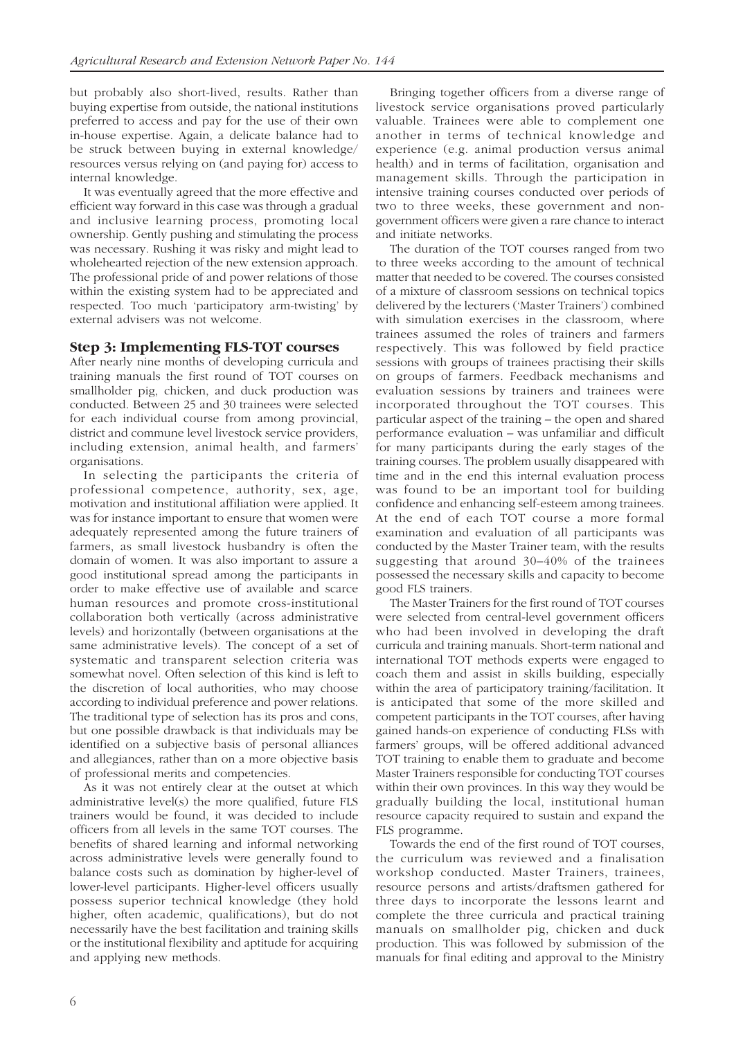but probably also short-lived, results. Rather than buying expertise from outside, the national institutions preferred to access and pay for the use of their own in-house expertise. Again, a delicate balance had to be struck between buying in external knowledge/ resources versus relying on (and paying for) access to internal knowledge.

It was eventually agreed that the more effective and efficient way forward in this case was through a gradual and inclusive learning process, promoting local ownership. Gently pushing and stimulating the process was necessary. Rushing it was risky and might lead to wholehearted rejection of the new extension approach. The professional pride of and power relations of those within the existing system had to be appreciated and respected. Too much 'participatory arm-twisting' by external advisers was not welcome.

#### **Step 3: Implementing FLS-TOT courses**

After nearly nine months of developing curricula and training manuals the first round of TOT courses on smallholder pig, chicken, and duck production was conducted. Between 25 and 30 trainees were selected for each individual course from among provincial, district and commune level livestock service providers, including extension, animal health, and farmers' organisations.

In selecting the participants the criteria of professional competence, authority, sex, age, motivation and institutional affiliation were applied. It was for instance important to ensure that women were adequately represented among the future trainers of farmers, as small livestock husbandry is often the domain of women. It was also important to assure a good institutional spread among the participants in order to make effective use of available and scarce human resources and promote cross-institutional collaboration both vertically (across administrative levels) and horizontally (between organisations at the same administrative levels). The concept of a set of systematic and transparent selection criteria was somewhat novel. Often selection of this kind is left to the discretion of local authorities, who may choose according to individual preference and power relations. The traditional type of selection has its pros and cons, but one possible drawback is that individuals may be identified on a subjective basis of personal alliances and allegiances, rather than on a more objective basis of professional merits and competencies.

As it was not entirely clear at the outset at which administrative level(s) the more qualified, future FLS trainers would be found, it was decided to include officers from all levels in the same TOT courses. The benefits of shared learning and informal networking across administrative levels were generally found to balance costs such as domination by higher-level of lower-level participants. Higher-level officers usually possess superior technical knowledge (they hold higher, often academic, qualifications), but do not necessarily have the best facilitation and training skills or the institutional flexibility and aptitude for acquiring and applying new methods.

Bringing together officers from a diverse range of livestock service organisations proved particularly valuable. Trainees were able to complement one another in terms of technical knowledge and experience (e.g. animal production versus animal health) and in terms of facilitation, organisation and management skills. Through the participation in intensive training courses conducted over periods of two to three weeks, these government and nongovernment officers were given a rare chance to interact and initiate networks.

The duration of the TOT courses ranged from two to three weeks according to the amount of technical matter that needed to be covered. The courses consisted of a mixture of classroom sessions on technical topics delivered by the lecturers ('Master Trainers') combined with simulation exercises in the classroom, where trainees assumed the roles of trainers and farmers respectively. This was followed by field practice sessions with groups of trainees practising their skills on groups of farmers. Feedback mechanisms and evaluation sessions by trainers and trainees were incorporated throughout the TOT courses. This particular aspect of the training – the open and shared performance evaluation – was unfamiliar and difficult for many participants during the early stages of the training courses. The problem usually disappeared with time and in the end this internal evaluation process was found to be an important tool for building confidence and enhancing self-esteem among trainees. At the end of each TOT course a more formal examination and evaluation of all participants was conducted by the Master Trainer team, with the results suggesting that around 30–40% of the trainees possessed the necessary skills and capacity to become good FLS trainers.

The Master Trainers for the first round of TOT courses were selected from central-level government officers who had been involved in developing the draft curricula and training manuals. Short-term national and international TOT methods experts were engaged to coach them and assist in skills building, especially within the area of participatory training/facilitation. It is anticipated that some of the more skilled and competent participants in the TOT courses, after having gained hands-on experience of conducting FLSs with farmers' groups, will be offered additional advanced TOT training to enable them to graduate and become Master Trainers responsible for conducting TOT courses within their own provinces. In this way they would be gradually building the local, institutional human resource capacity required to sustain and expand the FLS programme.

Towards the end of the first round of TOT courses, the curriculum was reviewed and a finalisation workshop conducted. Master Trainers, trainees, resource persons and artists/draftsmen gathered for three days to incorporate the lessons learnt and complete the three curricula and practical training manuals on smallholder pig, chicken and duck production. This was followed by submission of the manuals for final editing and approval to the Ministry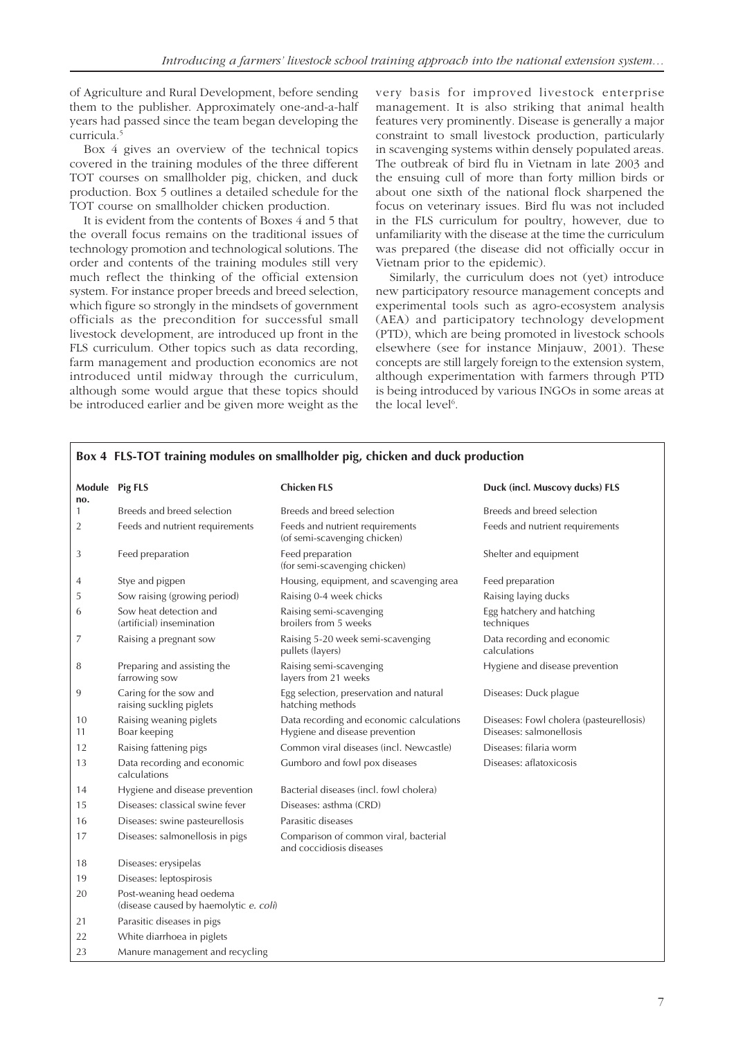of Agriculture and Rural Development, before sending them to the publisher. Approximately one-and-a-half years had passed since the team began developing the curricula.5

Box 4 gives an overview of the technical topics covered in the training modules of the three different TOT courses on smallholder pig, chicken, and duck production. Box 5 outlines a detailed schedule for the TOT course on smallholder chicken production.

It is evident from the contents of Boxes 4 and 5 that the overall focus remains on the traditional issues of technology promotion and technological solutions. The order and contents of the training modules still very much reflect the thinking of the official extension system. For instance proper breeds and breed selection, which figure so strongly in the mindsets of government officials as the precondition for successful small livestock development, are introduced up front in the FLS curriculum. Other topics such as data recording, farm management and production economics are not introduced until midway through the curriculum, although some would argue that these topics should be introduced earlier and be given more weight as the

very basis for improved livestock enterprise management. It is also striking that animal health features very prominently. Disease is generally a major constraint to small livestock production, particularly in scavenging systems within densely populated areas. The outbreak of bird flu in Vietnam in late 2003 and the ensuing cull of more than forty million birds or about one sixth of the national flock sharpened the focus on veterinary issues. Bird flu was not included in the FLS curriculum for poultry, however, due to unfamiliarity with the disease at the time the curriculum was prepared (the disease did not officially occur in Vietnam prior to the epidemic).

Similarly, the curriculum does not (yet) introduce new participatory resource management concepts and experimental tools such as agro-ecosystem analysis (AEA) and participatory technology development (PTD), which are being promoted in livestock schools elsewhere (see for instance Minjauw, 2001). These concepts are still largely foreign to the extension system, although experimentation with farmers through PTD is being introduced by various INGOs in some areas at the local level<sup>6</sup>.

| no.            | Module Pig FLS                                                     | <b>Chicken FLS</b>                                                         | Duck (incl. Muscovy ducks) FLS                                     |
|----------------|--------------------------------------------------------------------|----------------------------------------------------------------------------|--------------------------------------------------------------------|
| 1              | Breeds and breed selection                                         | Breeds and breed selection                                                 | Breeds and breed selection                                         |
| $\overline{2}$ | Feeds and nutrient requirements                                    | Feeds and nutrient requirements<br>(of semi-scavenging chicken)            | Feeds and nutrient requirements                                    |
| 3              | Feed preparation                                                   | Feed preparation<br>(for semi-scavenging chicken)                          | Shelter and equipment                                              |
| 4              | Stye and pigpen                                                    | Housing, equipment, and scavenging area                                    | Feed preparation                                                   |
| 5              | Sow raising (growing period)                                       | Raising 0-4 week chicks                                                    | Raising laying ducks                                               |
| 6              | Sow heat detection and<br>(artificial) insemination                | Raising semi-scavenging<br>broilers from 5 weeks                           | Egg hatchery and hatching<br>techniques                            |
| 7              | Raising a pregnant sow                                             | Raising 5-20 week semi-scavenging<br>pullets (layers)                      | Data recording and economic<br>calculations                        |
| 8              | Preparing and assisting the<br>farrowing sow                       | Raising semi-scavenging<br>layers from 21 weeks                            | Hygiene and disease prevention                                     |
| 9              | Caring for the sow and<br>raising suckling piglets                 | Egg selection, preservation and natural<br>hatching methods                | Diseases: Duck plague                                              |
| 10<br>11       | Raising weaning piglets<br>Boar keeping                            | Data recording and economic calculations<br>Hygiene and disease prevention | Diseases: Fowl cholera (pasteurellosis)<br>Diseases: salmonellosis |
| 12             | Raising fattening pigs                                             | Common viral diseases (incl. Newcastle)                                    | Diseases: filaria worm                                             |
| 13             | Data recording and economic<br>calculations                        | Gumboro and fowl pox diseases                                              | Diseases: aflatoxicosis                                            |
| 14             | Hygiene and disease prevention                                     | Bacterial diseases (incl. fowl cholera)                                    |                                                                    |
| 15             | Diseases: classical swine fever                                    | Diseases: asthma (CRD)                                                     |                                                                    |
| 16             | Diseases: swine pasteurellosis                                     | Parasitic diseases                                                         |                                                                    |
| 17             | Diseases: salmonellosis in pigs                                    | Comparison of common viral, bacterial<br>and coccidiosis diseases          |                                                                    |
| 18             | Diseases: erysipelas                                               |                                                                            |                                                                    |
| 19             | Diseases: leptospirosis                                            |                                                                            |                                                                    |
| 20             | Post-weaning head oedema<br>(disease caused by haemolytic e. coli) |                                                                            |                                                                    |
| 21             | Parasitic diseases in pigs                                         |                                                                            |                                                                    |
| 22             | White diarrhoea in piglets                                         |                                                                            |                                                                    |
| 23             | Manure management and recycling                                    |                                                                            |                                                                    |

#### **Box 4 FLS-TOT training modules on smallholder pig, chicken and duck production**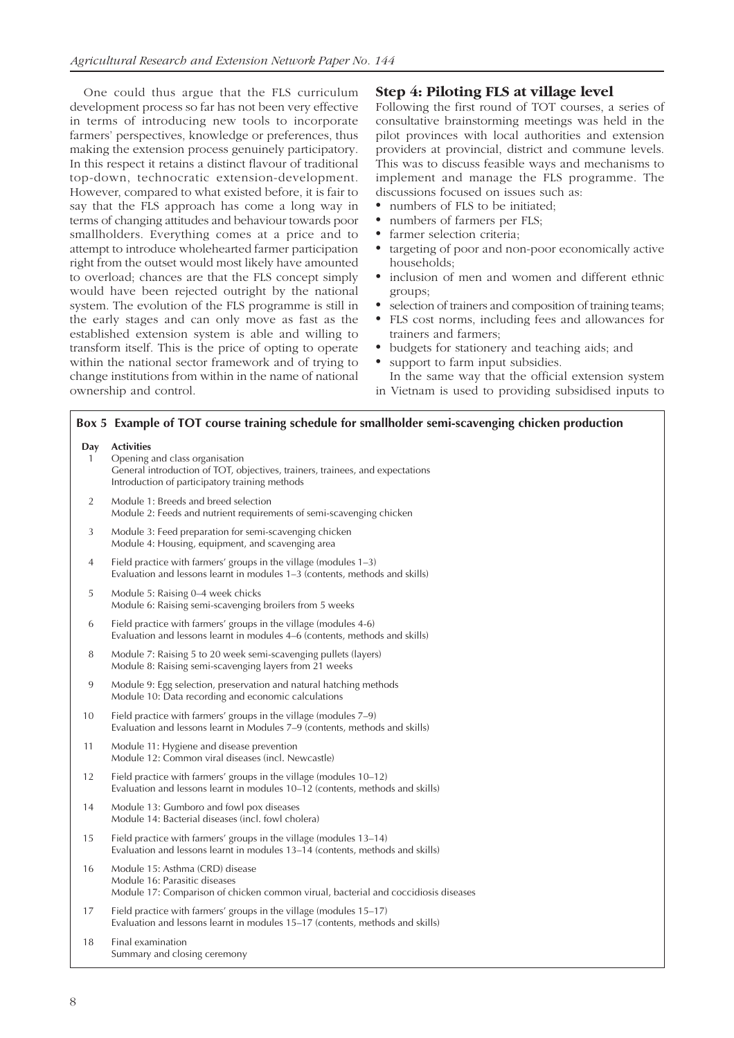One could thus argue that the FLS curriculum development process so far has not been very effective in terms of introducing new tools to incorporate farmers' perspectives, knowledge or preferences, thus making the extension process genuinely participatory. In this respect it retains a distinct flavour of traditional top-down, technocratic extension-development. However, compared to what existed before, it is fair to say that the FLS approach has come a long way in terms of changing attitudes and behaviour towards poor smallholders. Everything comes at a price and to attempt to introduce wholehearted farmer participation right from the outset would most likely have amounted to overload; chances are that the FLS concept simply would have been rejected outright by the national system. The evolution of the FLS programme is still in the early stages and can only move as fast as the established extension system is able and willing to transform itself. This is the price of opting to operate within the national sector framework and of trying to change institutions from within in the name of national ownership and control.

#### **Step 4: Piloting FLS at village level**

Following the first round of TOT courses, a series of consultative brainstorming meetings was held in the pilot provinces with local authorities and extension providers at provincial, district and commune levels. This was to discuss feasible ways and mechanisms to implement and manage the FLS programme. The discussions focused on issues such as:

- numbers of FLS to be initiated;
- numbers of farmers per FLS;
- farmer selection criteria;
- targeting of poor and non-poor economically active households;
- inclusion of men and women and different ethnic groups;
- selection of trainers and composition of training teams;
- FLS cost norms, including fees and allowances for trainers and farmers;
- budgets for stationery and teaching aids; and
- support to farm input subsidies.

In the same way that the official extension system in Vietnam is used to providing subsidised inputs to

|                     | Box 5 Example of TOT course training schedule for smallholder semi-scavenging chicken production                                                                                       |
|---------------------|----------------------------------------------------------------------------------------------------------------------------------------------------------------------------------------|
| Day<br>$\mathbf{1}$ | <b>Activities</b><br>Opening and class organisation<br>General introduction of TOT, objectives, trainers, trainees, and expectations<br>Introduction of participatory training methods |
| $\overline{2}$      | Module 1: Breeds and breed selection<br>Module 2: Feeds and nutrient requirements of semi-scavenging chicken                                                                           |
| 3                   | Module 3: Feed preparation for semi-scavenging chicken<br>Module 4: Housing, equipment, and scavenging area                                                                            |
| $\overline{4}$      | Field practice with farmers' groups in the village (modules $1-3$ )<br>Evaluation and lessons learnt in modules 1–3 (contents, methods and skills)                                     |
| 5                   | Module 5: Raising 0-4 week chicks<br>Module 6: Raising semi-scavenging broilers from 5 weeks                                                                                           |
| 6                   | Field practice with farmers' groups in the village (modules 4-6)<br>Evaluation and lessons learnt in modules 4–6 (contents, methods and skills)                                        |
| 8                   | Module 7: Raising 5 to 20 week semi-scavenging pullets (layers)<br>Module 8: Raising semi-scavenging layers from 21 weeks                                                              |
| 9                   | Module 9: Egg selection, preservation and natural hatching methods<br>Module 10: Data recording and economic calculations                                                              |
| 10                  | Field practice with farmers' groups in the village (modules 7-9)<br>Evaluation and lessons learnt in Modules 7–9 (contents, methods and skills)                                        |
| 11                  | Module 11: Hygiene and disease prevention<br>Module 12: Common viral diseases (incl. Newcastle)                                                                                        |
| 12                  | Field practice with farmers' groups in the village (modules 10–12)<br>Evaluation and lessons learnt in modules 10-12 (contents, methods and skills)                                    |
| 14                  | Module 13: Gumboro and fowl pox diseases<br>Module 14: Bacterial diseases (incl. fowl cholera)                                                                                         |
| 15                  | Field practice with farmers' groups in the village (modules 13-14)<br>Evaluation and lessons learnt in modules 13-14 (contents, methods and skills)                                    |
| 16                  | Module 15: Asthma (CRD) disease<br>Module 16: Parasitic diseases<br>Module 17: Comparison of chicken common virual, bacterial and coccidiosis diseases                                 |
| 17                  | Field practice with farmers' groups in the village (modules 15-17)<br>Evaluation and lessons learnt in modules 15-17 (contents, methods and skills)                                    |
| 18                  | Final examination<br>Summary and closing ceremony                                                                                                                                      |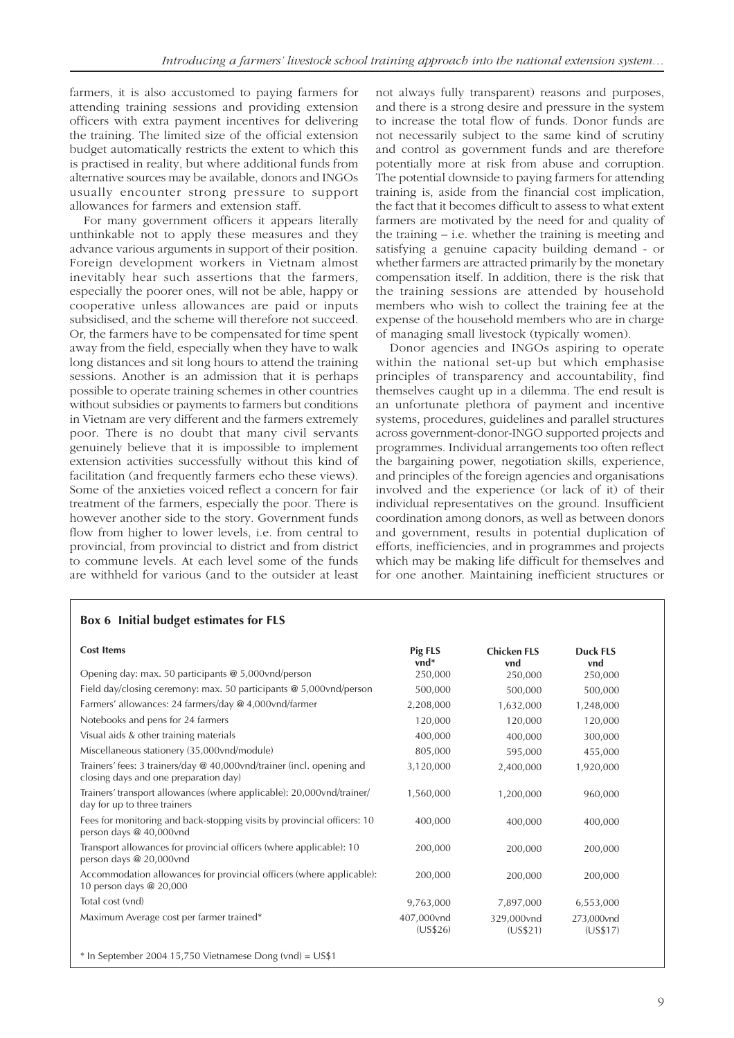farmers, it is also accustomed to paying farmers for attending training sessions and providing extension officers with extra payment incentives for delivering the training. The limited size of the official extension budget automatically restricts the extent to which this is practised in reality, but where additional funds from alternative sources may be available, donors and INGOs usually encounter strong pressure to support allowances for farmers and extension staff.

For many government officers it appears literally unthinkable not to apply these measures and they advance various arguments in support of their position. Foreign development workers in Vietnam almost inevitably hear such assertions that the farmers, especially the poorer ones, will not be able, happy or cooperative unless allowances are paid or inputs subsidised, and the scheme will therefore not succeed. Or, the farmers have to be compensated for time spent away from the field, especially when they have to walk long distances and sit long hours to attend the training sessions. Another is an admission that it is perhaps possible to operate training schemes in other countries without subsidies or payments to farmers but conditions in Vietnam are very different and the farmers extremely poor. There is no doubt that many civil servants genuinely believe that it is impossible to implement extension activities successfully without this kind of facilitation (and frequently farmers echo these views). Some of the anxieties voiced reflect a concern for fair treatment of the farmers, especially the poor. There is however another side to the story. Government funds flow from higher to lower levels, i.e. from central to provincial, from provincial to district and from district to commune levels. At each level some of the funds are withheld for various (and to the outsider at least

not always fully transparent) reasons and purposes, and there is a strong desire and pressure in the system to increase the total flow of funds. Donor funds are not necessarily subject to the same kind of scrutiny and control as government funds and are therefore potentially more at risk from abuse and corruption. The potential downside to paying farmers for attending training is, aside from the financial cost implication, the fact that it becomes difficult to assess to what extent farmers are motivated by the need for and quality of the training – i.e. whether the training is meeting and satisfying a genuine capacity building demand - or whether farmers are attracted primarily by the monetary compensation itself. In addition, there is the risk that the training sessions are attended by household members who wish to collect the training fee at the expense of the household members who are in charge of managing small livestock (typically women).

Donor agencies and INGOs aspiring to operate within the national set-up but which emphasise principles of transparency and accountability, find themselves caught up in a dilemma. The end result is an unfortunate plethora of payment and incentive systems, procedures, guidelines and parallel structures across government-donor-INGO supported projects and programmes. Individual arrangements too often reflect the bargaining power, negotiation skills, experience, and principles of the foreign agencies and organisations involved and the experience (or lack of it) of their individual representatives on the ground. Insufficient coordination among donors, as well as between donors and government, results in potential duplication of efforts, inefficiencies, and in programmes and projects which may be making life difficult for themselves and for one another. Maintaining inefficient structures or

| <b>Cost Items</b>                                                                                              | Pig FLS<br>vnd*        | <b>Chicken FLS</b><br>vnd | <b>Duck FLS</b><br>vnd |
|----------------------------------------------------------------------------------------------------------------|------------------------|---------------------------|------------------------|
| Opening day: max. 50 participants @ 5,000vnd/person                                                            | 250,000                | 250,000                   | 250,000                |
| Field day/closing ceremony: max. 50 participants $\omega$ 5,000 vnd/person                                     | 500,000                | 500,000                   | 500,000                |
| Farmers' allowances: 24 farmers/day @ 4,000vnd/farmer                                                          | 2,208,000              | 1,632,000                 | 1,248,000              |
| Notebooks and pens for 24 farmers                                                                              | 120,000                | 120,000                   | 120,000                |
| Visual aids & other training materials                                                                         | 400,000                | 400,000                   | 300,000                |
| Miscellaneous stationery (35,000vnd/module)                                                                    | 805,000                | 595,000                   | 455,000                |
| Trainers' fees: 3 trainers/day @ 40,000vnd/trainer (incl. opening and<br>closing days and one preparation day) | 3,120,000              | 2,400,000                 | 1,920,000              |
| Trainers' transport allowances (where applicable): 20,000vnd/trainer/<br>day for up to three trainers          | 1,560,000              | 1,200,000                 | 960,000                |
| Fees for monitoring and back-stopping visits by provincial officers: 10<br>person days @ 40,000vnd             | 400,000                | 400,000                   | 400,000                |
| Transport allowances for provincial officers (where applicable): 10<br>person days @ 20,000vnd                 | 200,000                | 200,000                   | 200,000                |
| Accommodation allowances for provincial officers (where applicable):<br>10 person days @ 20,000                | 200,000                | 200,000                   | 200,000                |
| Total cost (vnd)                                                                                               | 9,763,000              | 7,897,000                 | 6,553,000              |
| Maximum Average cost per farmer trained*                                                                       | 407,000vnd<br>(US\$26) | 329,000vnd<br>(US\$21)    | 273,000vnd<br>(US\$17) |

#### **Box 6 Initial budget estimates for FLS**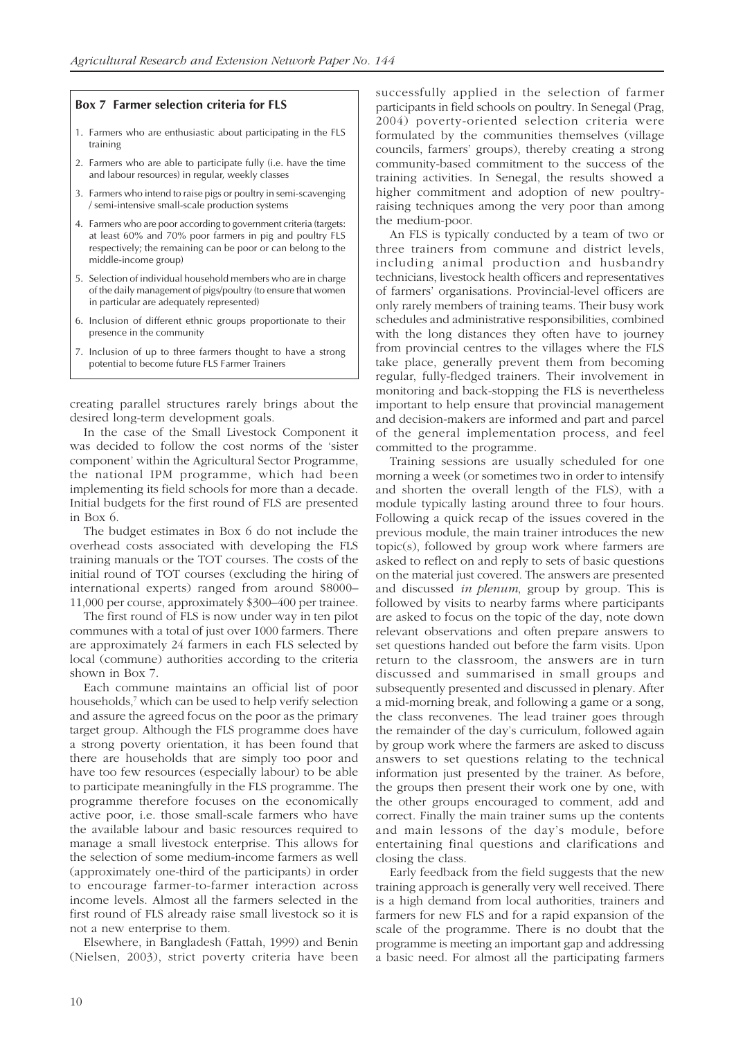#### **Box 7 Farmer selection criteria for FLS**

- 1. Farmers who are enthusiastic about participating in the FLS training
- 2. Farmers who are able to participate fully (i.e. have the time and labour resources) in regular, weekly classes
- 3. Farmers who intend to raise pigs or poultry in semi-scavenging / semi-intensive small-scale production systems
- 4. Farmers who are poor according to government criteria (targets: at least 60% and 70% poor farmers in pig and poultry FLS respectively; the remaining can be poor or can belong to the middle-income group)
- 5. Selection of individual household members who are in charge of the daily management of pigs/poultry (to ensure that women in particular are adequately represented)
- 6. Inclusion of different ethnic groups proportionate to their presence in the community
- 7. Inclusion of up to three farmers thought to have a strong potential to become future FLS Farmer Trainers

creating parallel structures rarely brings about the desired long-term development goals.

In the case of the Small Livestock Component it was decided to follow the cost norms of the 'sister component' within the Agricultural Sector Programme, the national IPM programme, which had been implementing its field schools for more than a decade. Initial budgets for the first round of FLS are presented in Box 6.

The budget estimates in Box 6 do not include the overhead costs associated with developing the FLS training manuals or the TOT courses. The costs of the initial round of TOT courses (excluding the hiring of international experts) ranged from around \$8000– 11,000 per course, approximately \$300–400 per trainee.

The first round of FLS is now under way in ten pilot communes with a total of just over 1000 farmers. There are approximately 24 farmers in each FLS selected by local (commune) authorities according to the criteria shown in Box 7.

Each commune maintains an official list of poor households,<sup>7</sup> which can be used to help verify selection and assure the agreed focus on the poor as the primary target group. Although the FLS programme does have a strong poverty orientation, it has been found that there are households that are simply too poor and have too few resources (especially labour) to be able to participate meaningfully in the FLS programme. The programme therefore focuses on the economically active poor, i.e. those small-scale farmers who have the available labour and basic resources required to manage a small livestock enterprise. This allows for the selection of some medium-income farmers as well (approximately one-third of the participants) in order to encourage farmer-to-farmer interaction across income levels. Almost all the farmers selected in the first round of FLS already raise small livestock so it is not a new enterprise to them.

Elsewhere, in Bangladesh (Fattah, 1999) and Benin (Nielsen, 2003), strict poverty criteria have been successfully applied in the selection of farmer participants in field schools on poultry. In Senegal (Prag, 2004) poverty-oriented selection criteria were formulated by the communities themselves (village councils, farmers' groups), thereby creating a strong community-based commitment to the success of the training activities. In Senegal, the results showed a higher commitment and adoption of new poultryraising techniques among the very poor than among the medium-poor.

An FLS is typically conducted by a team of two or three trainers from commune and district levels, including animal production and husbandry technicians, livestock health officers and representatives of farmers' organisations. Provincial-level officers are only rarely members of training teams. Their busy work schedules and administrative responsibilities, combined with the long distances they often have to journey from provincial centres to the villages where the FLS take place, generally prevent them from becoming regular, fully-fledged trainers. Their involvement in monitoring and back-stopping the FLS is nevertheless important to help ensure that provincial management and decision-makers are informed and part and parcel of the general implementation process, and feel committed to the programme.

Training sessions are usually scheduled for one morning a week (or sometimes two in order to intensify and shorten the overall length of the FLS), with a module typically lasting around three to four hours. Following a quick recap of the issues covered in the previous module, the main trainer introduces the new topic(s), followed by group work where farmers are asked to reflect on and reply to sets of basic questions on the material just covered. The answers are presented and discussed *in plenum*, group by group. This is followed by visits to nearby farms where participants are asked to focus on the topic of the day, note down relevant observations and often prepare answers to set questions handed out before the farm visits. Upon return to the classroom, the answers are in turn discussed and summarised in small groups and subsequently presented and discussed in plenary. After a mid-morning break, and following a game or a song, the class reconvenes. The lead trainer goes through the remainder of the day's curriculum, followed again by group work where the farmers are asked to discuss answers to set questions relating to the technical information just presented by the trainer. As before, the groups then present their work one by one, with the other groups encouraged to comment, add and correct. Finally the main trainer sums up the contents and main lessons of the day's module, before entertaining final questions and clarifications and closing the class.

Early feedback from the field suggests that the new training approach is generally very well received. There is a high demand from local authorities, trainers and farmers for new FLS and for a rapid expansion of the scale of the programme. There is no doubt that the programme is meeting an important gap and addressing a basic need. For almost all the participating farmers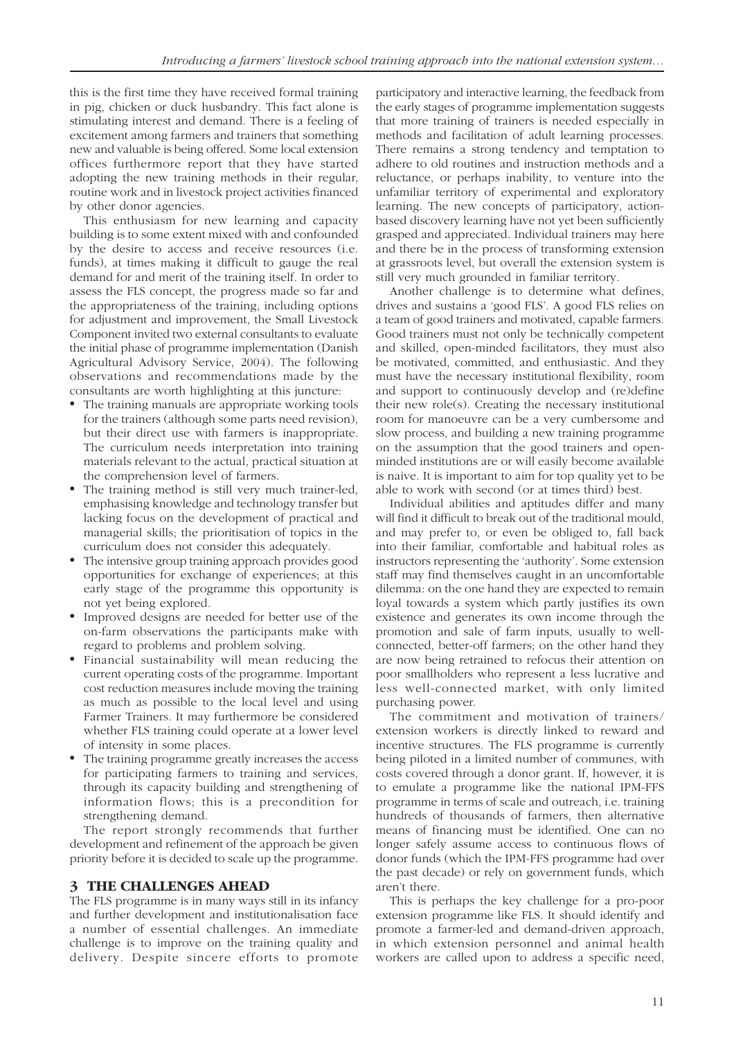this is the first time they have received formal training in pig, chicken or duck husbandry. This fact alone is stimulating interest and demand. There is a feeling of excitement among farmers and trainers that something new and valuable is being offered. Some local extension offices furthermore report that they have started adopting the new training methods in their regular, routine work and in livestock project activities financed by other donor agencies.

This enthusiasm for new learning and capacity building is to some extent mixed with and confounded by the desire to access and receive resources (i.e. funds), at times making it difficult to gauge the real demand for and merit of the training itself. In order to assess the FLS concept, the progress made so far and the appropriateness of the training, including options for adjustment and improvement, the Small Livestock Component invited two external consultants to evaluate the initial phase of programme implementation (Danish Agricultural Advisory Service, 2004). The following observations and recommendations made by the consultants are worth highlighting at this juncture:

- The training manuals are appropriate working tools for the trainers (although some parts need revision), but their direct use with farmers is inappropriate. The curriculum needs interpretation into training materials relevant to the actual, practical situation at the comprehension level of farmers.
- The training method is still very much trainer-led, emphasising knowledge and technology transfer but lacking focus on the development of practical and managerial skills; the prioritisation of topics in the curriculum does not consider this adequately.
- The intensive group training approach provides good opportunities for exchange of experiences; at this early stage of the programme this opportunity is not yet being explored.
- Improved designs are needed for better use of the on-farm observations the participants make with regard to problems and problem solving.
- Financial sustainability will mean reducing the current operating costs of the programme. Important cost reduction measures include moving the training as much as possible to the local level and using Farmer Trainers. It may furthermore be considered whether FLS training could operate at a lower level of intensity in some places.
- The training programme greatly increases the access for participating farmers to training and services, through its capacity building and strengthening of information flows; this is a precondition for strengthening demand.

The report strongly recommends that further development and refinement of the approach be given priority before it is decided to scale up the programme.

#### **3 THE CHALLENGES AHEAD**

The FLS programme is in many ways still in its infancy and further development and institutionalisation face a number of essential challenges. An immediate challenge is to improve on the training quality and delivery. Despite sincere efforts to promote

participatory and interactive learning, the feedback from the early stages of programme implementation suggests that more training of trainers is needed especially in methods and facilitation of adult learning processes. There remains a strong tendency and temptation to adhere to old routines and instruction methods and a reluctance, or perhaps inability, to venture into the unfamiliar territory of experimental and exploratory learning. The new concepts of participatory, actionbased discovery learning have not yet been sufficiently grasped and appreciated. Individual trainers may here and there be in the process of transforming extension at grassroots level, but overall the extension system is still very much grounded in familiar territory.

Another challenge is to determine what defines, drives and sustains a 'good FLS'. A good FLS relies on a team of good trainers and motivated, capable farmers. Good trainers must not only be technically competent and skilled, open-minded facilitators, they must also be motivated, committed, and enthusiastic. And they must have the necessary institutional flexibility, room and support to continuously develop and (re)define their new role(s). Creating the necessary institutional room for manoeuvre can be a very cumbersome and slow process, and building a new training programme on the assumption that the good trainers and openminded institutions are or will easily become available is naive. It is important to aim for top quality yet to be able to work with second (or at times third) best.

Individual abilities and aptitudes differ and many will find it difficult to break out of the traditional mould, and may prefer to, or even be obliged to, fall back into their familiar, comfortable and habitual roles as instructors representing the 'authority'. Some extension staff may find themselves caught in an uncomfortable dilemma: on the one hand they are expected to remain loyal towards a system which partly justifies its own existence and generates its own income through the promotion and sale of farm inputs, usually to wellconnected, better-off farmers; on the other hand they are now being retrained to refocus their attention on poor smallholders who represent a less lucrative and less well-connected market, with only limited purchasing power.

The commitment and motivation of trainers/ extension workers is directly linked to reward and incentive structures. The FLS programme is currently being piloted in a limited number of communes, with costs covered through a donor grant. If, however, it is to emulate a programme like the national IPM-FFS programme in terms of scale and outreach, i.e. training hundreds of thousands of farmers, then alternative means of financing must be identified. One can no longer safely assume access to continuous flows of donor funds (which the IPM-FFS programme had over the past decade) or rely on government funds, which aren't there.

This is perhaps the key challenge for a pro-poor extension programme like FLS. It should identify and promote a farmer-led and demand-driven approach, in which extension personnel and animal health workers are called upon to address a specific need,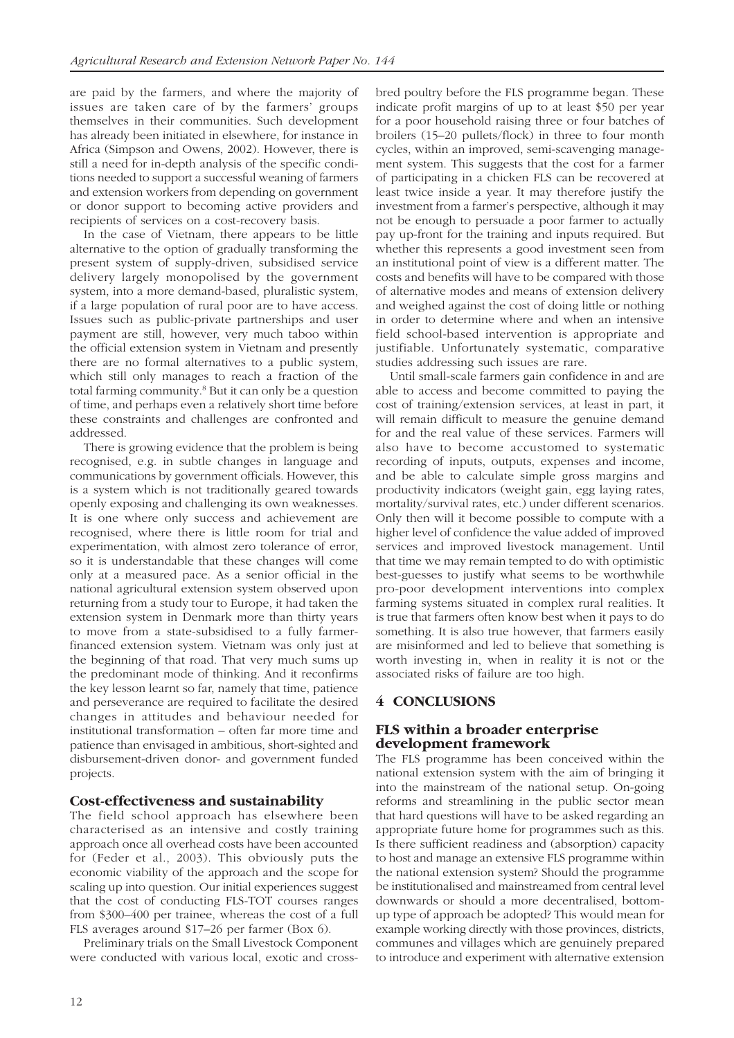are paid by the farmers, and where the majority of issues are taken care of by the farmers' groups themselves in their communities. Such development has already been initiated in elsewhere, for instance in Africa (Simpson and Owens, 2002). However, there is still a need for in-depth analysis of the specific conditions needed to support a successful weaning of farmers and extension workers from depending on government or donor support to becoming active providers and recipients of services on a cost-recovery basis.

In the case of Vietnam, there appears to be little alternative to the option of gradually transforming the present system of supply-driven, subsidised service delivery largely monopolised by the government system, into a more demand-based, pluralistic system, if a large population of rural poor are to have access. Issues such as public-private partnerships and user payment are still, however, very much taboo within the official extension system in Vietnam and presently there are no formal alternatives to a public system, which still only manages to reach a fraction of the total farming community.<sup>8</sup> But it can only be a question of time, and perhaps even a relatively short time before these constraints and challenges are confronted and addressed.

There is growing evidence that the problem is being recognised, e.g. in subtle changes in language and communications by government officials. However, this is a system which is not traditionally geared towards openly exposing and challenging its own weaknesses. It is one where only success and achievement are recognised, where there is little room for trial and experimentation, with almost zero tolerance of error, so it is understandable that these changes will come only at a measured pace. As a senior official in the national agricultural extension system observed upon returning from a study tour to Europe, it had taken the extension system in Denmark more than thirty years to move from a state-subsidised to a fully farmerfinanced extension system. Vietnam was only just at the beginning of that road. That very much sums up the predominant mode of thinking. And it reconfirms the key lesson learnt so far, namely that time, patience and perseverance are required to facilitate the desired changes in attitudes and behaviour needed for institutional transformation – often far more time and patience than envisaged in ambitious, short-sighted and disbursement-driven donor- and government funded projects.

#### **Cost-effectiveness and sustainability**

The field school approach has elsewhere been characterised as an intensive and costly training approach once all overhead costs have been accounted for (Feder et al., 2003). This obviously puts the economic viability of the approach and the scope for scaling up into question. Our initial experiences suggest that the cost of conducting FLS-TOT courses ranges from \$300–400 per trainee, whereas the cost of a full FLS averages around \$17–26 per farmer (Box 6).

Preliminary trials on the Small Livestock Component were conducted with various local, exotic and crossbred poultry before the FLS programme began. These indicate profit margins of up to at least \$50 per year for a poor household raising three or four batches of broilers (15–20 pullets/flock) in three to four month cycles, within an improved, semi-scavenging management system. This suggests that the cost for a farmer of participating in a chicken FLS can be recovered at least twice inside a year. It may therefore justify the investment from a farmer's perspective, although it may not be enough to persuade a poor farmer to actually pay up-front for the training and inputs required. But whether this represents a good investment seen from an institutional point of view is a different matter. The costs and benefits will have to be compared with those of alternative modes and means of extension delivery and weighed against the cost of doing little or nothing in order to determine where and when an intensive field school-based intervention is appropriate and justifiable. Unfortunately systematic, comparative studies addressing such issues are rare.

Until small-scale farmers gain confidence in and are able to access and become committed to paying the cost of training/extension services, at least in part, it will remain difficult to measure the genuine demand for and the real value of these services. Farmers will also have to become accustomed to systematic recording of inputs, outputs, expenses and income, and be able to calculate simple gross margins and productivity indicators (weight gain, egg laying rates, mortality/survival rates, etc.) under different scenarios. Only then will it become possible to compute with a higher level of confidence the value added of improved services and improved livestock management. Until that time we may remain tempted to do with optimistic best-guesses to justify what seems to be worthwhile pro-poor development interventions into complex farming systems situated in complex rural realities. It is true that farmers often know best when it pays to do something. It is also true however, that farmers easily are misinformed and led to believe that something is worth investing in, when in reality it is not or the associated risks of failure are too high.

#### **4 CONCLUSIONS**

#### **FLS within a broader enterprise development framework**

The FLS programme has been conceived within the national extension system with the aim of bringing it into the mainstream of the national setup. On-going reforms and streamlining in the public sector mean that hard questions will have to be asked regarding an appropriate future home for programmes such as this. Is there sufficient readiness and (absorption) capacity to host and manage an extensive FLS programme within the national extension system? Should the programme be institutionalised and mainstreamed from central level downwards or should a more decentralised, bottomup type of approach be adopted? This would mean for example working directly with those provinces, districts, communes and villages which are genuinely prepared to introduce and experiment with alternative extension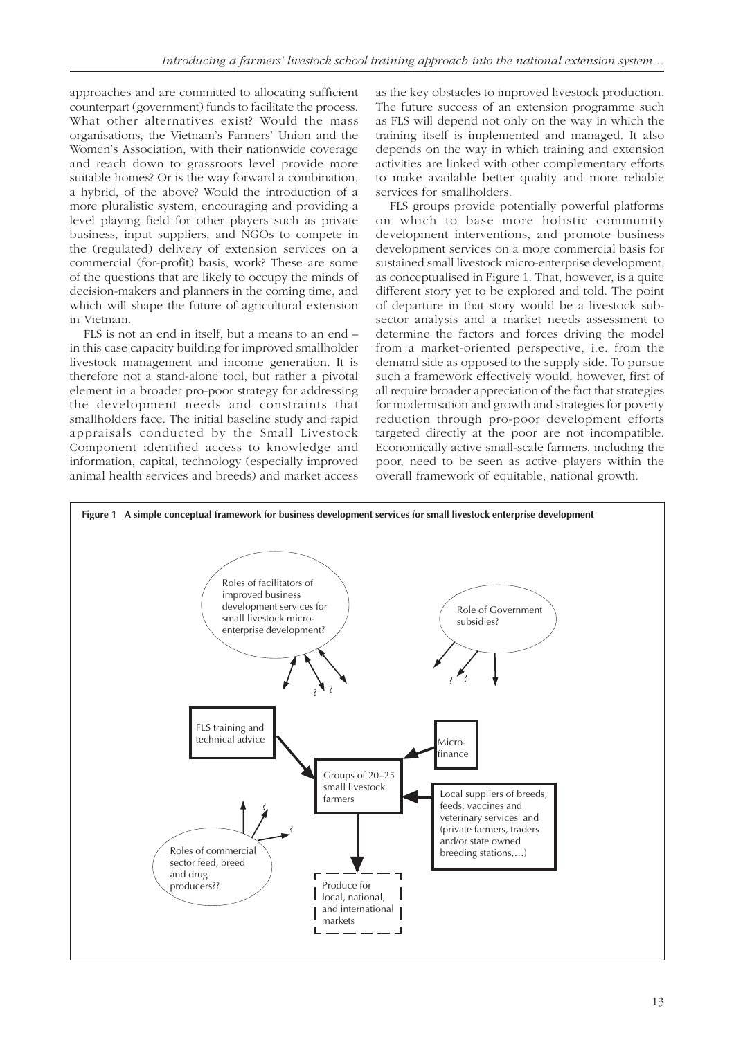approaches and are committed to allocating sufficient counterpart (government) funds to facilitate the process. What other alternatives exist? Would the mass organisations, the Vietnam's Farmers' Union and the Women's Association, with their nationwide coverage and reach down to grassroots level provide more suitable homes? Or is the way forward a combination, a hybrid, of the above? Would the introduction of a more pluralistic system, encouraging and providing a level playing field for other players such as private business, input suppliers, and NGOs to compete in the (regulated) delivery of extension services on a commercial (for-profit) basis, work? These are some of the questions that are likely to occupy the minds of decision-makers and planners in the coming time, and which will shape the future of agricultural extension in Vietnam.

FLS is not an end in itself, but a means to an end – in this case capacity building for improved smallholder livestock management and income generation. It is therefore not a stand-alone tool, but rather a pivotal element in a broader pro-poor strategy for addressing the development needs and constraints that smallholders face. The initial baseline study and rapid appraisals conducted by the Small Livestock Component identified access to knowledge and information, capital, technology (especially improved animal health services and breeds) and market access

as the key obstacles to improved livestock production. The future success of an extension programme such as FLS will depend not only on the way in which the training itself is implemented and managed. It also depends on the way in which training and extension activities are linked with other complementary efforts to make available better quality and more reliable services for smallholders.

FLS groups provide potentially powerful platforms on which to base more holistic community development interventions, and promote business development services on a more commercial basis for sustained small livestock micro-enterprise development, as conceptualised in Figure 1. That, however, is a quite different story yet to be explored and told. The point of departure in that story would be a livestock subsector analysis and a market needs assessment to determine the factors and forces driving the model from a market-oriented perspective, i.e. from the demand side as opposed to the supply side. To pursue such a framework effectively would, however, first of all require broader appreciation of the fact that strategies for modernisation and growth and strategies for poverty reduction through pro-poor development efforts targeted directly at the poor are not incompatible. Economically active small-scale farmers, including the poor, need to be seen as active players within the overall framework of equitable, national growth.

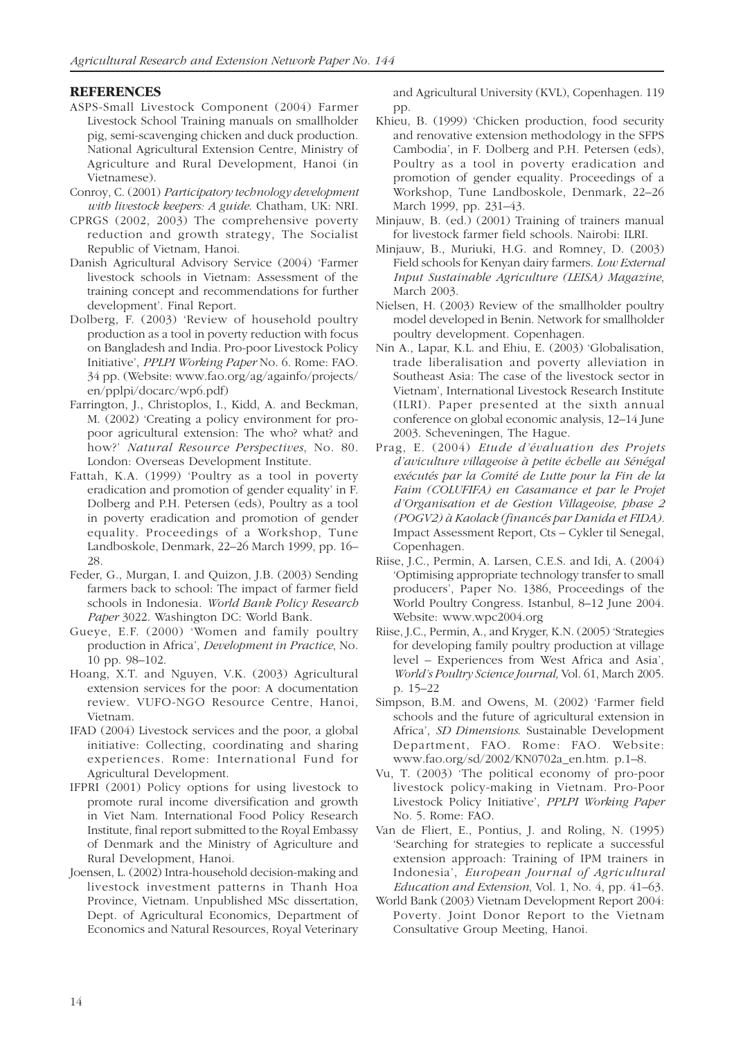#### **REFERENCES**

- ASPS-Small Livestock Component (2004) Farmer Livestock School Training manuals on smallholder pig, semi-scavenging chicken and duck production. National Agricultural Extension Centre, Ministry of Agriculture and Rural Development, Hanoi (in Vietnamese).
- Conroy, C. (2001) *Participatory technology development with livestock keepers: A guide*. Chatham, UK: NRI.
- CPRGS (2002, 2003) The comprehensive poverty reduction and growth strategy, The Socialist Republic of Vietnam, Hanoi.
- Danish Agricultural Advisory Service (2004) 'Farmer livestock schools in Vietnam: Assessment of the training concept and recommendations for further development'. Final Report.
- Dolberg, F. (2003) 'Review of household poultry production as a tool in poverty reduction with focus on Bangladesh and India. Pro-poor Livestock Policy Initiative', *PPLPI Working Paper* No. 6. Rome: FAO. 34 pp. (Website: www.fao.org/ag/againfo/projects/ en/pplpi/docarc/wp6.pdf)
- Farrington, J., Christoplos, I., Kidd, A. and Beckman, M. (2002) 'Creating a policy environment for propoor agricultural extension: The who? what? and how?' *Natural Resource Perspectives*, No. 80. London: Overseas Development Institute.
- Fattah, K.A. (1999) 'Poultry as a tool in poverty eradication and promotion of gender equality' in F. Dolberg and P.H. Petersen (eds), Poultry as a tool in poverty eradication and promotion of gender equality. Proceedings of a Workshop, Tune Landboskole, Denmark, 22–26 March 1999, pp. 16– 28.
- Feder, G., Murgan, I. and Quizon, J.B. (2003) Sending farmers back to school: The impact of farmer field schools in Indonesia. *World Bank Policy Research Paper* 3022. Washington DC: World Bank.
- Gueye, E.F. (2000) 'Women and family poultry production in Africa', *Development in Practice*, No. 10 pp. 98–102.
- Hoang, X.T. and Nguyen, V.K. (2003) Agricultural extension services for the poor: A documentation review. VUFO-NGO Resource Centre, Hanoi, Vietnam.
- IFAD (2004) Livestock services and the poor, a global initiative: Collecting, coordinating and sharing experiences. Rome: International Fund for Agricultural Development.
- IFPRI (2001) Policy options for using livestock to promote rural income diversification and growth in Viet Nam. International Food Policy Research Institute, final report submitted to the Royal Embassy of Denmark and the Ministry of Agriculture and Rural Development, Hanoi.
- Joensen, L. (2002) Intra-household decision-making and livestock investment patterns in Thanh Hoa Province, Vietnam. Unpublished MSc dissertation, Dept. of Agricultural Economics, Department of Economics and Natural Resources, Royal Veterinary

and Agricultural University (KVL), Copenhagen. 119 pp.

- Khieu, B. (1999) 'Chicken production, food security and renovative extension methodology in the SFPS Cambodia', in F. Dolberg and P.H. Petersen (eds), Poultry as a tool in poverty eradication and promotion of gender equality. Proceedings of a Workshop, Tune Landboskole, Denmark, 22–26 March 1999, pp. 231–43.
- Minjauw, B. (ed.) (2001) Training of trainers manual for livestock farmer field schools. Nairobi: ILRI.
- Minjauw, B., Muriuki, H.G. and Romney, D. (2003) Field schools for Kenyan dairy farmers. *Low External Input Sustainable Agriculture (LEISA) Magazine*, March 2003.
- Nielsen, H. (2003) Review of the smallholder poultry model developed in Benin. Network for smallholder poultry development. Copenhagen.
- Nin A., Lapar, K.L. and Ehiu, E. (2003) 'Globalisation, trade liberalisation and poverty alleviation in Southeast Asia: The case of the livestock sector in Vietnam', International Livestock Research Institute (ILRI). Paper presented at the sixth annual conference on global economic analysis, 12–14 June 2003. Scheveningen, The Hague.
- Prag, E. (2004) *Etude d'évaluation des Projets d'aviculture villageoise à petite échelle au Sénégal exécutés par la Comité de Lutte pour la Fin de la Faim (COLUFIFA) en Casamance et par le Projet d'Organisation et de Gestion Villageoise, phase 2 (POGV2) à Kaolack (financés par Danida et FIDA).* Impact Assessment Report, Cts – Cykler til Senegal, Copenhagen.
- Riise, J.C., Permin, A. Larsen, C.E.S. and Idi, A. (2004) 'Optimising appropriate technology transfer to small producers', Paper No. 1386, Proceedings of the World Poultry Congress. Istanbul, 8–12 June 2004. Website: www.wpc2004.org
- Riise, J.C., Permin, A., and Kryger, K.N. (2005) 'Strategies for developing family poultry production at village level – Experiences from West Africa and Asia', *World's Poultry Science Journal,* Vol. 61, March 2005. p. 15–22
- Simpson, B.M. and Owens, M. (2002) 'Farmer field schools and the future of agricultural extension in Africa', *SD Dimensions*. Sustainable Development Department, FAO. Rome: FAO. Website: www.fao.org/sd/2002/KN0702a\_en.htm. p.1–8.
- Vu, T. (2003) 'The political economy of pro-poor livestock policy-making in Vietnam. Pro-Poor Livestock Policy Initiative', *PPLPI Working Paper* No. 5. Rome: FAO.
- Van de Fliert, E., Pontius, J. and Roling, N. (1995) 'Searching for strategies to replicate a successful extension approach: Training of IPM trainers in Indonesia', *European Journal of Agricultural Education and Extension*, Vol. 1, No. 4, pp. 41–63.
- World Bank (2003) Vietnam Development Report 2004: Poverty. Joint Donor Report to the Vietnam Consultative Group Meeting, Hanoi.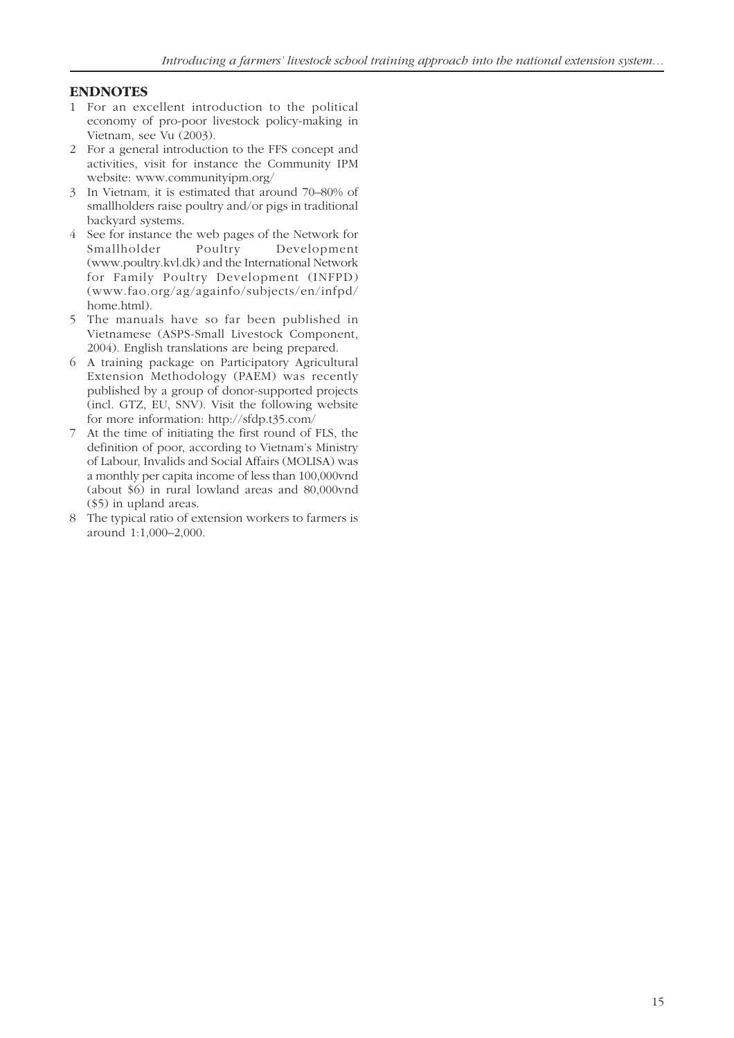#### **ENDNOTES**

- 1 For an excellent introduction to the political economy of pro-poor livestock policy-making in Vietnam, see Vu (2003).
- 2 For a general introduction to the FFS concept and activities, visit for instance the Community IPM website: www.communityipm.org/
- 3 In Vietnam, it is estimated that around 70–80% of smallholders raise poultry and/or pigs in traditional backyard systems.
- 4 See for instance the web pages of the Network for Smallholder Poultry Development (www.poultry.kvl.dk) and the International Network for Family Poultry Development (INFPD) (www.fao.org/ag/againfo/subjects/en/infpd/ home.html).
- 5 The manuals have so far been published in Vietnamese (ASPS-Small Livestock Component, 2004). English translations are being prepared.
- 6 A training package on Participatory Agricultural Extension Methodology (PAEM) was recently published by a group of donor-supported projects (incl. GTZ, EU, SNV). Visit the following website for more information: http://sfdp.t35.com/
- 7 At the time of initiating the first round of FLS, the definition of poor, according to Vietnam's Ministry of Labour, Invalids and Social Affairs (MOLISA) was a monthly per capita income of less than 100,000vnd (about \$6) in rural lowland areas and 80,000vnd (\$5) in upland areas.
- 8 The typical ratio of extension workers to farmers is around 1:1,000–2,000.